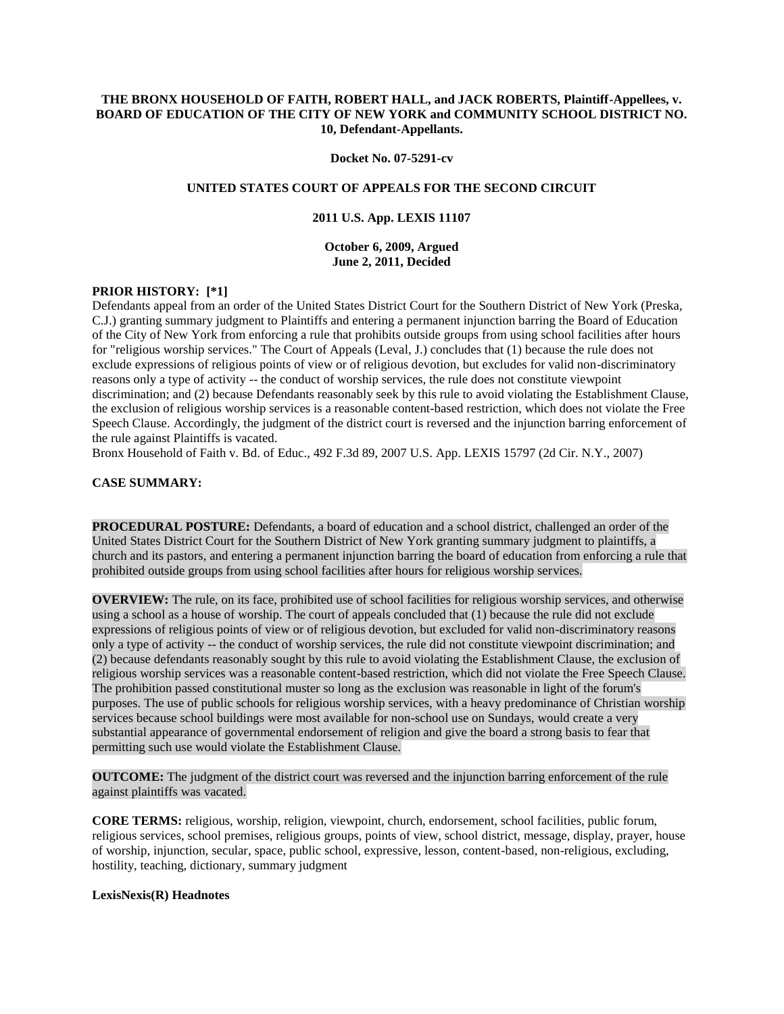## **THE BRONX HOUSEHOLD OF FAITH, ROBERT HALL, and JACK ROBERTS, Plaintiff-Appellees, v. BOARD OF EDUCATION OF THE CITY OF NEW YORK and COMMUNITY SCHOOL DISTRICT NO. 10, Defendant-Appellants.**

### **Docket No. 07-5291-cv**

### **UNITED STATES COURT OF APPEALS FOR THE SECOND CIRCUIT**

# **2011 U.S. App. LEXIS 11107**

## **October 6, 2009, Argued June 2, 2011, Decided**

## **PRIOR HISTORY: [\*1]**

Defendants appeal from an order of the United States District Court for the Southern District of New York (Preska, C.J.) granting summary judgment to Plaintiffs and entering a permanent injunction barring the Board of Education of the City of New York from enforcing a rule that prohibits outside groups from using school facilities after hours for "religious worship services." The Court of Appeals (Leval, J.) concludes that (1) because the rule does not exclude expressions of religious points of view or of religious devotion, but excludes for valid non-discriminatory reasons only a type of activity -- the conduct of worship services, the rule does not constitute viewpoint discrimination; and (2) because Defendants reasonably seek by this rule to avoid violating the Establishment Clause, the exclusion of religious worship services is a reasonable content-based restriction, which does not violate the Free Speech Clause. Accordingly, the judgment of the district court is reversed and the injunction barring enforcement of the rule against Plaintiffs is vacated.

Bronx Household of Faith v. Bd. of Educ., 492 F.3d 89, 2007 U.S. App. LEXIS 15797 (2d Cir. N.Y., 2007)

### **CASE SUMMARY:**

**PROCEDURAL POSTURE:** Defendants, a board of education and a school district, challenged an order of the United States District Court for the Southern District of New York granting summary judgment to plaintiffs, a church and its pastors, and entering a permanent injunction barring the board of education from enforcing a rule that prohibited outside groups from using school facilities after hours for religious worship services.

**OVERVIEW:** The rule, on its face, prohibited use of school facilities for religious worship services, and otherwise using a school as a house of worship. The court of appeals concluded that (1) because the rule did not exclude expressions of religious points of view or of religious devotion, but excluded for valid non-discriminatory reasons only a type of activity -- the conduct of worship services, the rule did not constitute viewpoint discrimination; and (2) because defendants reasonably sought by this rule to avoid violating the Establishment Clause, the exclusion of religious worship services was a reasonable content-based restriction, which did not violate the Free Speech Clause. The prohibition passed constitutional muster so long as the exclusion was reasonable in light of the forum's purposes. The use of public schools for religious worship services, with a heavy predominance of Christian worship services because school buildings were most available for non-school use on Sundays, would create a very substantial appearance of governmental endorsement of religion and give the board a strong basis to fear that permitting such use would violate the Establishment Clause.

**OUTCOME:** The judgment of the district court was reversed and the injunction barring enforcement of the rule against plaintiffs was vacated.

**CORE TERMS:** religious, worship, religion, viewpoint, church, endorsement, school facilities, public forum, religious services, school premises, religious groups, points of view, school district, message, display, prayer, house of worship, injunction, secular, space, public school, expressive, lesson, content-based, non-religious, excluding, hostility, teaching, dictionary, summary judgment

#### **LexisNexis(R) Headnotes**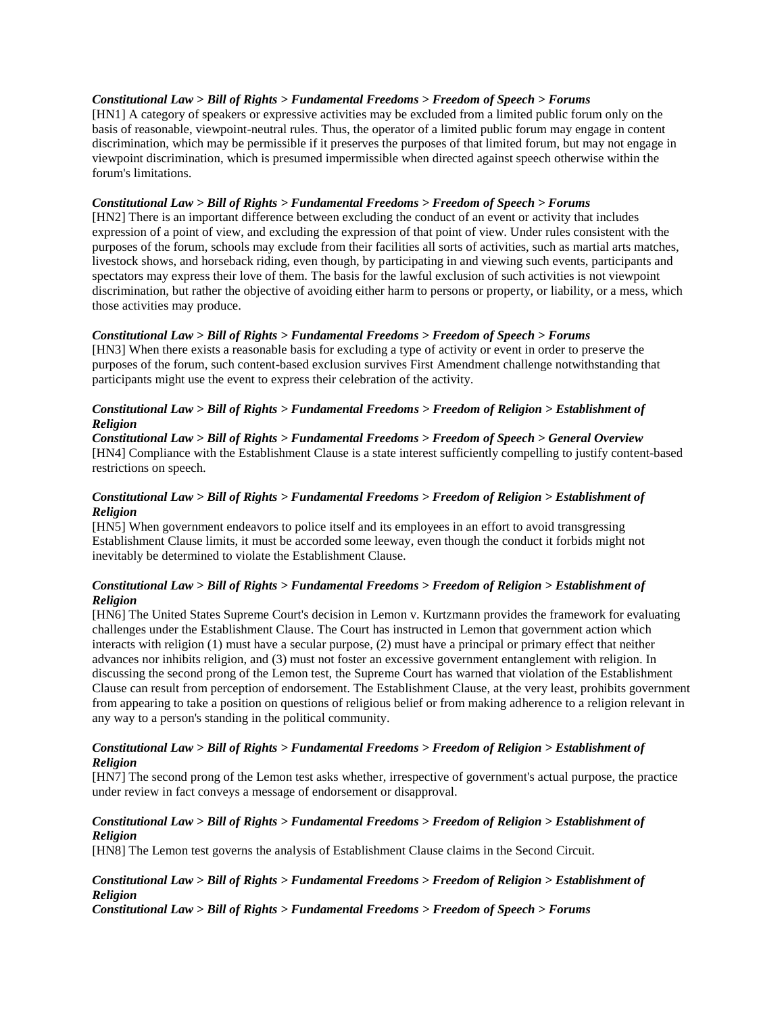# *Constitutional Law > Bill of Rights > Fundamental Freedoms > Freedom of Speech > Forums*

[HN1] A category of speakers or expressive activities may be excluded from a limited public forum only on the basis of reasonable, viewpoint-neutral rules. Thus, the operator of a limited public forum may engage in content discrimination, which may be permissible if it preserves the purposes of that limited forum, but may not engage in viewpoint discrimination, which is presumed impermissible when directed against speech otherwise within the forum's limitations.

## *Constitutional Law > Bill of Rights > Fundamental Freedoms > Freedom of Speech > Forums*

[HN2] There is an important difference between excluding the conduct of an event or activity that includes expression of a point of view, and excluding the expression of that point of view. Under rules consistent with the purposes of the forum, schools may exclude from their facilities all sorts of activities, such as martial arts matches, livestock shows, and horseback riding, even though, by participating in and viewing such events, participants and spectators may express their love of them. The basis for the lawful exclusion of such activities is not viewpoint discrimination, but rather the objective of avoiding either harm to persons or property, or liability, or a mess, which those activities may produce.

## *Constitutional Law > Bill of Rights > Fundamental Freedoms > Freedom of Speech > Forums*

[HN3] When there exists a reasonable basis for excluding a type of activity or event in order to preserve the purposes of the forum, such content-based exclusion survives First Amendment challenge notwithstanding that participants might use the event to express their celebration of the activity.

# *Constitutional Law > Bill of Rights > Fundamental Freedoms > Freedom of Religion > Establishment of Religion*

*Constitutional Law > Bill of Rights > Fundamental Freedoms > Freedom of Speech > General Overview* [HN4] Compliance with the Establishment Clause is a state interest sufficiently compelling to justify content-based restrictions on speech.

# *Constitutional Law > Bill of Rights > Fundamental Freedoms > Freedom of Religion > Establishment of Religion*

[HN5] When government endeavors to police itself and its employees in an effort to avoid transgressing Establishment Clause limits, it must be accorded some leeway, even though the conduct it forbids might not inevitably be determined to violate the Establishment Clause.

## *Constitutional Law > Bill of Rights > Fundamental Freedoms > Freedom of Religion > Establishment of Religion*

[HN6] The United States Supreme Court's decision in Lemon v. Kurtzmann provides the framework for evaluating challenges under the Establishment Clause. The Court has instructed in Lemon that government action which interacts with religion (1) must have a secular purpose, (2) must have a principal or primary effect that neither advances nor inhibits religion, and (3) must not foster an excessive government entanglement with religion. In discussing the second prong of the Lemon test, the Supreme Court has warned that violation of the Establishment Clause can result from perception of endorsement. The Establishment Clause, at the very least, prohibits government from appearing to take a position on questions of religious belief or from making adherence to a religion relevant in any way to a person's standing in the political community.

## *Constitutional Law > Bill of Rights > Fundamental Freedoms > Freedom of Religion > Establishment of Religion*

[HN7] The second prong of the Lemon test asks whether, irrespective of government's actual purpose, the practice under review in fact conveys a message of endorsement or disapproval.

# *Constitutional Law > Bill of Rights > Fundamental Freedoms > Freedom of Religion > Establishment of Religion*

[HN8] The Lemon test governs the analysis of Establishment Clause claims in the Second Circuit.

# *Constitutional Law > Bill of Rights > Fundamental Freedoms > Freedom of Religion > Establishment of Religion*

*Constitutional Law > Bill of Rights > Fundamental Freedoms > Freedom of Speech > Forums*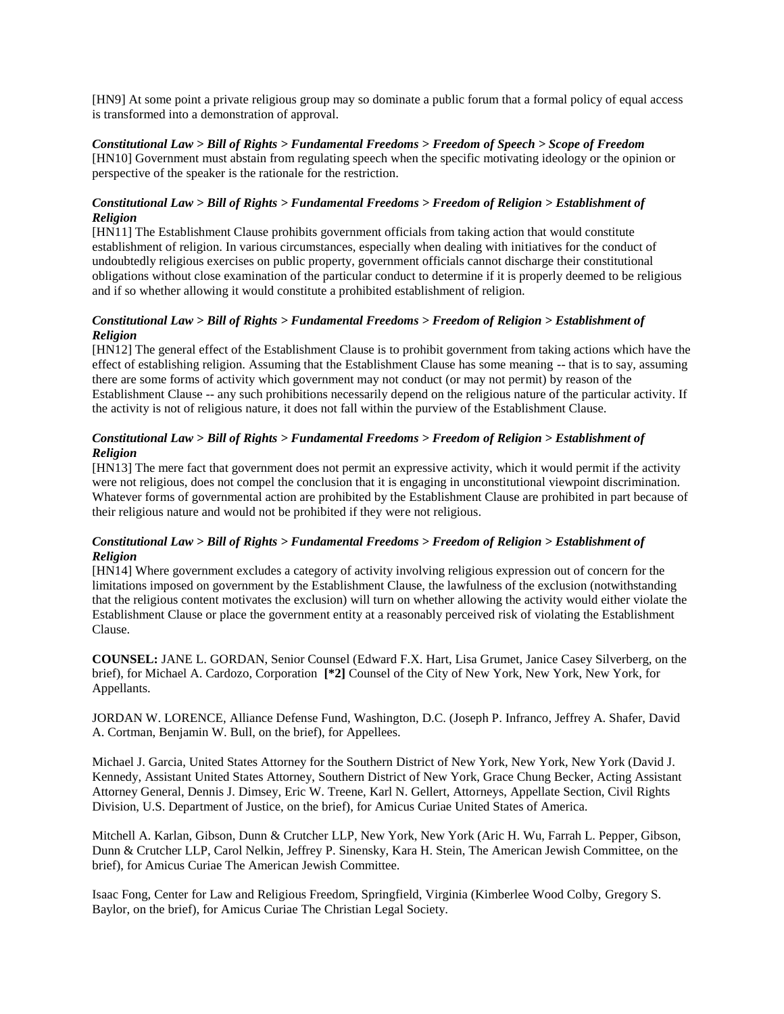[HN9] At some point a private religious group may so dominate a public forum that a formal policy of equal access is transformed into a demonstration of approval.

# *Constitutional Law > Bill of Rights > Fundamental Freedoms > Freedom of Speech > Scope of Freedom*

[HN10] Government must abstain from regulating speech when the specific motivating ideology or the opinion or perspective of the speaker is the rationale for the restriction.

## *Constitutional Law > Bill of Rights > Fundamental Freedoms > Freedom of Religion > Establishment of Religion*

[HN11] The Establishment Clause prohibits government officials from taking action that would constitute establishment of religion. In various circumstances, especially when dealing with initiatives for the conduct of undoubtedly religious exercises on public property, government officials cannot discharge their constitutional obligations without close examination of the particular conduct to determine if it is properly deemed to be religious and if so whether allowing it would constitute a prohibited establishment of religion.

# *Constitutional Law > Bill of Rights > Fundamental Freedoms > Freedom of Religion > Establishment of Religion*

[HN12] The general effect of the Establishment Clause is to prohibit government from taking actions which have the effect of establishing religion. Assuming that the Establishment Clause has some meaning -- that is to say, assuming there are some forms of activity which government may not conduct (or may not permit) by reason of the Establishment Clause -- any such prohibitions necessarily depend on the religious nature of the particular activity. If the activity is not of religious nature, it does not fall within the purview of the Establishment Clause.

# *Constitutional Law > Bill of Rights > Fundamental Freedoms > Freedom of Religion > Establishment of Religion*

[HN13] The mere fact that government does not permit an expressive activity, which it would permit if the activity were not religious, does not compel the conclusion that it is engaging in unconstitutional viewpoint discrimination. Whatever forms of governmental action are prohibited by the Establishment Clause are prohibited in part because of their religious nature and would not be prohibited if they were not religious.

# *Constitutional Law > Bill of Rights > Fundamental Freedoms > Freedom of Religion > Establishment of Religion*

[HN14] Where government excludes a category of activity involving religious expression out of concern for the limitations imposed on government by the Establishment Clause, the lawfulness of the exclusion (notwithstanding that the religious content motivates the exclusion) will turn on whether allowing the activity would either violate the Establishment Clause or place the government entity at a reasonably perceived risk of violating the Establishment Clause.

**COUNSEL:** JANE L. GORDAN, Senior Counsel (Edward F.X. Hart, Lisa Grumet, Janice Casey Silverberg, on the brief), for Michael A. Cardozo, Corporation **[\*2]** Counsel of the City of New York, New York, New York, for Appellants.

JORDAN W. LORENCE, Alliance Defense Fund, Washington, D.C. (Joseph P. Infranco, Jeffrey A. Shafer, David A. Cortman, Benjamin W. Bull, on the brief), for Appellees.

Michael J. Garcia, United States Attorney for the Southern District of New York, New York, New York (David J. Kennedy, Assistant United States Attorney, Southern District of New York, Grace Chung Becker, Acting Assistant Attorney General, Dennis J. Dimsey, Eric W. Treene, Karl N. Gellert, Attorneys, Appellate Section, Civil Rights Division, U.S. Department of Justice, on the brief), for Amicus Curiae United States of America.

Mitchell A. Karlan, Gibson, Dunn & Crutcher LLP, New York, New York (Aric H. Wu, Farrah L. Pepper, Gibson, Dunn & Crutcher LLP, Carol Nelkin, Jeffrey P. Sinensky, Kara H. Stein, The American Jewish Committee, on the brief), for Amicus Curiae The American Jewish Committee.

Isaac Fong, Center for Law and Religious Freedom, Springfield, Virginia (Kimberlee Wood Colby, Gregory S. Baylor, on the brief), for Amicus Curiae The Christian Legal Society.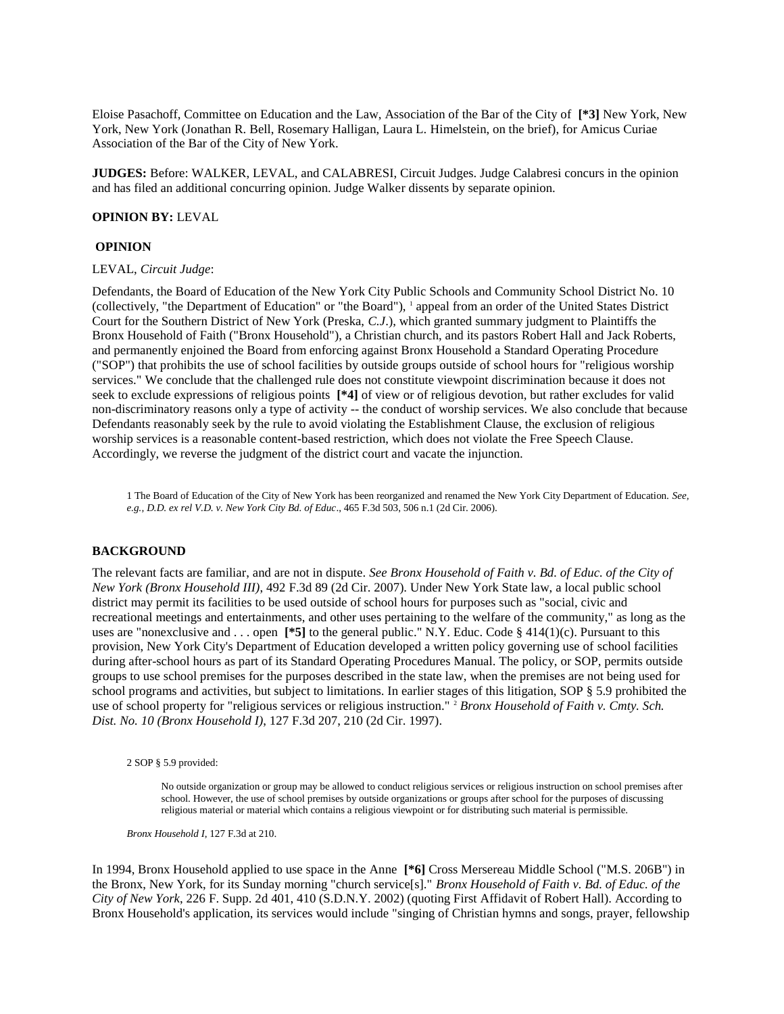Eloise Pasachoff, Committee on Education and the Law, Association of the Bar of the City of **[\*3]** New York, New York, New York (Jonathan R. Bell, Rosemary Halligan, Laura L. Himelstein, on the brief), for Amicus Curiae Association of the Bar of the City of New York.

**JUDGES:** Before: WALKER, LEVAL, and CALABRESI, Circuit Judges. Judge Calabresi concurs in the opinion and has filed an additional concurring opinion. Judge Walker dissents by separate opinion.

### **OPINION BY:** LEVAL

## **OPINION**

### LEVAL, *Circuit Judge*:

Defendants, the Board of Education of the New York City Public Schools and Community School District No. 10 (collectively, "the Department of Education" or "the Board"), <sup>1</sup> appeal from an order of the United States District Court for the Southern District of New York (Preska, *C.J*.), which granted summary judgment to Plaintiffs the Bronx Household of Faith ("Bronx Household"), a Christian church, and its pastors Robert Hall and Jack Roberts, and permanently enjoined the Board from enforcing against Bronx Household a Standard Operating Procedure ("SOP") that prohibits the use of school facilities by outside groups outside of school hours for "religious worship services." We conclude that the challenged rule does not constitute viewpoint discrimination because it does not seek to exclude expressions of religious points **[\*4]** of view or of religious devotion, but rather excludes for valid non-discriminatory reasons only a type of activity -- the conduct of worship services. We also conclude that because Defendants reasonably seek by the rule to avoid violating the Establishment Clause, the exclusion of religious worship services is a reasonable content-based restriction, which does not violate the Free Speech Clause. Accordingly, we reverse the judgment of the district court and vacate the injunction.

1 The Board of Education of the City of New York has been reorganized and renamed the New York City Department of Education. *See, e.g., D.D. ex rel V.D. v. New York City Bd. of Educ*., 465 F.3d 503, 506 n.1 (2d Cir. 2006).

#### **BACKGROUND**

The relevant facts are familiar, and are not in dispute. *See Bronx Household of Faith v. Bd. of Educ. of the City of New York (Bronx Household III)*, 492 F.3d 89 (2d Cir. 2007). Under New York State law, a local public school district may permit its facilities to be used outside of school hours for purposes such as "social, civic and recreational meetings and entertainments, and other uses pertaining to the welfare of the community," as long as the uses are "nonexclusive and . . . open **[\*5]** to the general public." N.Y. Educ. Code § 414(1)(c). Pursuant to this provision, New York City's Department of Education developed a written policy governing use of school facilities during after-school hours as part of its Standard Operating Procedures Manual. The policy, or SOP, permits outside groups to use school premises for the purposes described in the state law, when the premises are not being used for school programs and activities, but subject to limitations. In earlier stages of this litigation, SOP § 5.9 prohibited the use of school property for "religious services or religious instruction." <sup>2</sup> *Bronx Household of Faith v. Cmty. Sch. Dist. No. 10 (Bronx Household I)*, 127 F.3d 207, 210 (2d Cir. 1997).

2 SOP § 5.9 provided:

No outside organization or group may be allowed to conduct religious services or religious instruction on school premises after school. However, the use of school premises by outside organizations or groups after school for the purposes of discussing religious material or material which contains a religious viewpoint or for distributing such material is permissible.

*Bronx Household I*, 127 F.3d at 210.

In 1994, Bronx Household applied to use space in the Anne **[\*6]** Cross Mersereau Middle School ("M.S. 206B") in the Bronx, New York, for its Sunday morning "church service[s]." *Bronx Household of Faith v. Bd. of Educ. of the City of New York*, 226 F. Supp. 2d 401, 410 (S.D.N.Y. 2002) (quoting First Affidavit of Robert Hall). According to Bronx Household's application, its services would include "singing of Christian hymns and songs, prayer, fellowship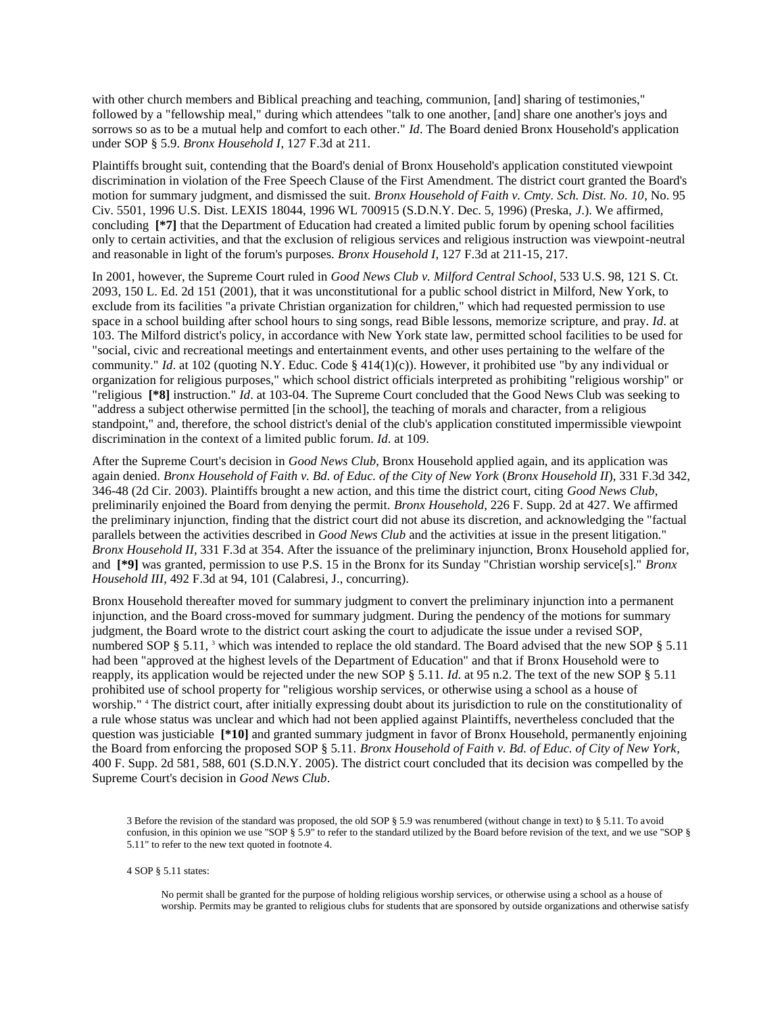with other church members and Biblical preaching and teaching, communion, [and] sharing of testimonies," followed by a "fellowship meal," during which attendees "talk to one another, [and] share one another's joys and sorrows so as to be a mutual help and comfort to each other." *Id*. The Board denied Bronx Household's application under SOP § 5.9. *Bronx Household I*, 127 F.3d at 211.

Plaintiffs brought suit, contending that the Board's denial of Bronx Household's application constituted viewpoint discrimination in violation of the Free Speech Clause of the First Amendment. The district court granted the Board's motion for summary judgment, and dismissed the suit. *Bronx Household of Faith v. Cmty. Sch. Dist. No. 10*, No. 95 Civ. 5501, 1996 U.S. Dist. LEXIS 18044, 1996 WL 700915 (S.D.N.Y. Dec. 5, 1996) (Preska, *J*.). We affirmed, concluding **[\*7]** that the Department of Education had created a limited public forum by opening school facilities only to certain activities, and that the exclusion of religious services and religious instruction was viewpoint-neutral and reasonable in light of the forum's purposes. *Bronx Household I*, 127 F.3d at 211-15, 217.

In 2001, however, the Supreme Court ruled in *Good News Club v. Milford Central School*, 533 U.S. 98, 121 S. Ct. 2093, 150 L. Ed. 2d 151 (2001), that it was unconstitutional for a public school district in Milford, New York, to exclude from its facilities "a private Christian organization for children," which had requested permission to use space in a school building after school hours to sing songs, read Bible lessons, memorize scripture, and pray. *Id*. at 103. The Milford district's policy, in accordance with New York state law, permitted school facilities to be used for "social, civic and recreational meetings and entertainment events, and other uses pertaining to the welfare of the community." *Id*. at 102 (quoting N.Y. Educ. Code § 414(1)(c)). However, it prohibited use "by any individual or organization for religious purposes," which school district officials interpreted as prohibiting "religious worship" or "religious **[\*8]** instruction." *Id*. at 103-04. The Supreme Court concluded that the Good News Club was seeking to "address a subject otherwise permitted [in the school], the teaching of morals and character, from a religious standpoint," and, therefore, the school district's denial of the club's application constituted impermissible viewpoint discrimination in the context of a limited public forum. *Id*. at 109.

After the Supreme Court's decision in *Good News Club*, Bronx Household applied again, and its application was again denied. *Bronx Household of Faith v. Bd. of Educ. of the City of New York* (*Bronx Household II*), 331 F.3d 342, 346-48 (2d Cir. 2003). Plaintiffs brought a new action, and this time the district court, citing *Good News Club*, preliminarily enjoined the Board from denying the permit. *Bronx Household*, 226 F. Supp. 2d at 427. We affirmed the preliminary injunction, finding that the district court did not abuse its discretion, and acknowledging the "factual parallels between the activities described in *Good News Club* and the activities at issue in the present litigation." *Bronx Household II*, 331 F.3d at 354. After the issuance of the preliminary injunction, Bronx Household applied for, and **[\*9]** was granted, permission to use P.S. 15 in the Bronx for its Sunday "Christian worship service[s]." *Bronx Household III*, 492 F.3d at 94, 101 (Calabresi, J., concurring).

Bronx Household thereafter moved for summary judgment to convert the preliminary injunction into a permanent injunction, and the Board cross-moved for summary judgment. During the pendency of the motions for summary judgment, the Board wrote to the district court asking the court to adjudicate the issue under a revised SOP, numbered SOP § 5.11, <sup>3</sup> which was intended to replace the old standard. The Board advised that the new SOP § 5.11 had been "approved at the highest levels of the Department of Education" and that if Bronx Household were to reapply, its application would be rejected under the new SOP § 5.11. *Id*. at 95 n.2. The text of the new SOP § 5.11 prohibited use of school property for "religious worship services, or otherwise using a school as a house of worship." <sup>4</sup> The district court, after initially expressing doubt about its jurisdiction to rule on the constitutionality of a rule whose status was unclear and which had not been applied against Plaintiffs, nevertheless concluded that the question was justiciable **[\*10]** and granted summary judgment in favor of Bronx Household, permanently enjoining the Board from enforcing the proposed SOP § 5.11. *Bronx Household of Faith v. Bd. of Educ. of City of New York*, 400 F. Supp. 2d 581, 588, 601 (S.D.N.Y. 2005). The district court concluded that its decision was compelled by the Supreme Court's decision in *Good News Club*.

3 Before the revision of the standard was proposed, the old SOP § 5.9 was renumbered (without change in text) to § 5.11. To avoid confusion, in this opinion we use "SOP § 5.9" to refer to the standard utilized by the Board before revision of the text, and we use "SOP § 5.11" to refer to the new text quoted in footnote 4.

4 SOP § 5.11 states:

No permit shall be granted for the purpose of holding religious worship services, or otherwise using a school as a house of worship. Permits may be granted to religious clubs for students that are sponsored by outside organizations and otherwise satisfy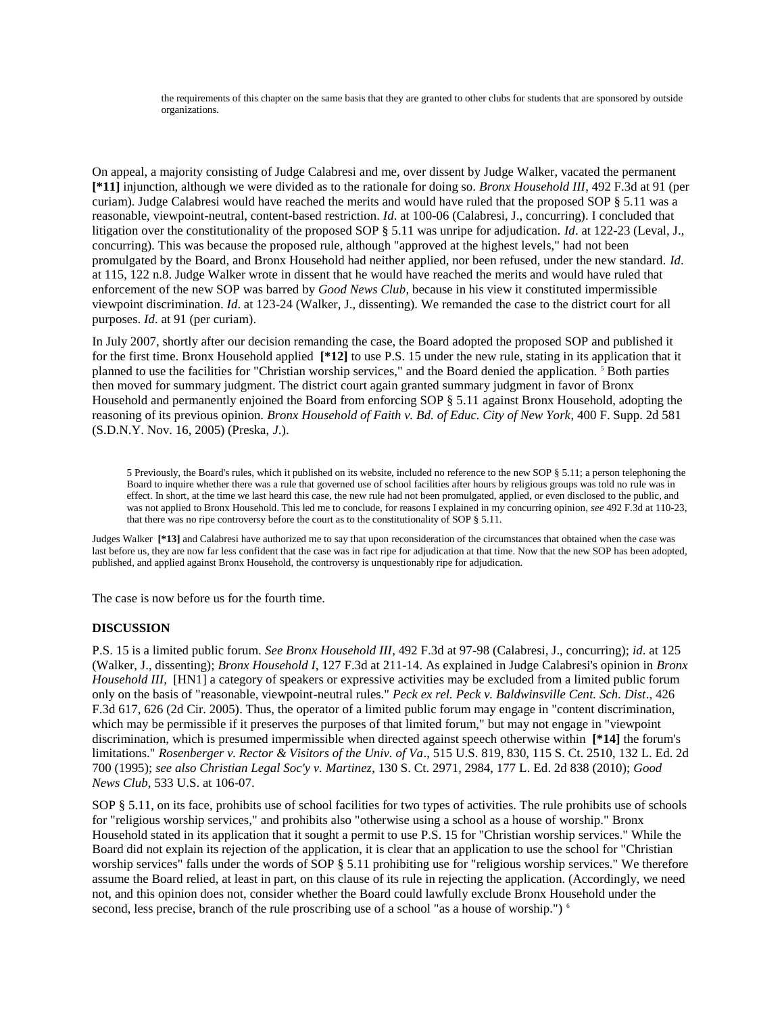the requirements of this chapter on the same basis that they are granted to other clubs for students that are sponsored by outside organizations.

On appeal, a majority consisting of Judge Calabresi and me, over dissent by Judge Walker, vacated the permanent **[\*11]** injunction, although we were divided as to the rationale for doing so. *Bronx Household III*, 492 F.3d at 91 (per curiam). Judge Calabresi would have reached the merits and would have ruled that the proposed SOP § 5.11 was a reasonable, viewpoint-neutral, content-based restriction. *Id*. at 100-06 (Calabresi, J., concurring). I concluded that litigation over the constitutionality of the proposed SOP § 5.11 was unripe for adjudication. *Id*. at 122-23 (Leval, J., concurring). This was because the proposed rule, although "approved at the highest levels," had not been promulgated by the Board, and Bronx Household had neither applied, nor been refused, under the new standard. *Id*. at 115, 122 n.8. Judge Walker wrote in dissent that he would have reached the merits and would have ruled that enforcement of the new SOP was barred by *Good News Club*, because in his view it constituted impermissible viewpoint discrimination. *Id*. at 123-24 (Walker, J., dissenting). We remanded the case to the district court for all purposes. *Id*. at 91 (per curiam).

In July 2007, shortly after our decision remanding the case, the Board adopted the proposed SOP and published it for the first time. Bronx Household applied **[\*12]** to use P.S. 15 under the new rule, stating in its application that it planned to use the facilities for "Christian worship services," and the Board denied the application. <sup>5</sup> Both parties then moved for summary judgment. The district court again granted summary judgment in favor of Bronx Household and permanently enjoined the Board from enforcing SOP § 5.11 against Bronx Household, adopting the reasoning of its previous opinion. *Bronx Household of Faith v. Bd. of Educ. City of New York*, 400 F. Supp. 2d 581 (S.D.N.Y. Nov. 16, 2005) (Preska, *J*.).

5 Previously, the Board's rules, which it published on its website, included no reference to the new SOP § 5.11; a person telephoning the Board to inquire whether there was a rule that governed use of school facilities after hours by religious groups was told no rule was in effect. In short, at the time we last heard this case, the new rule had not been promulgated, applied, or even disclosed to the public, and was not applied to Bronx Household. This led me to conclude, for reasons I explained in my concurring opinion, *see* 492 F.3d at 110-23, that there was no ripe controversy before the court as to the constitutionality of SOP § 5.11.

Judges Walker **[\*13]** and Calabresi have authorized me to say that upon reconsideration of the circumstances that obtained when the case was last before us, they are now far less confident that the case was in fact ripe for adjudication at that time. Now that the new SOP has been adopted, published, and applied against Bronx Household, the controversy is unquestionably ripe for adjudication.

The case is now before us for the fourth time.

### **DISCUSSION**

P.S. 15 is a limited public forum. *See Bronx Household III*, 492 F.3d at 97-98 (Calabresi, J., concurring); *id*. at 125 (Walker, J., dissenting); *Bronx Household I*, 127 F.3d at 211-14. As explained in Judge Calabresi's opinion in *Bronx Household III*, [HN1] a category of speakers or expressive activities may be excluded from a limited public forum only on the basis of "reasonable, viewpoint-neutral rules." *Peck ex rel. Peck v. Baldwinsville Cent. Sch. Dist*., 426 F.3d 617, 626 (2d Cir. 2005). Thus, the operator of a limited public forum may engage in "content discrimination, which may be permissible if it preserves the purposes of that limited forum," but may not engage in "viewpoint discrimination, which is presumed impermissible when directed against speech otherwise within **[\*14]** the forum's limitations." *Rosenberger v. Rector & Visitors of the Univ. of Va*., 515 U.S. 819, 830, 115 S. Ct. 2510, 132 L. Ed. 2d 700 (1995); *see also Christian Legal Soc'y v. Martinez*, 130 S. Ct. 2971, 2984, 177 L. Ed. 2d 838 (2010); *Good News Club*, 533 U.S. at 106-07.

SOP § 5.11, on its face, prohibits use of school facilities for two types of activities. The rule prohibits use of schools for "religious worship services," and prohibits also "otherwise using a school as a house of worship." Bronx Household stated in its application that it sought a permit to use P.S. 15 for "Christian worship services." While the Board did not explain its rejection of the application, it is clear that an application to use the school for "Christian worship services" falls under the words of SOP § 5.11 prohibiting use for "religious worship services." We therefore assume the Board relied, at least in part, on this clause of its rule in rejecting the application. (Accordingly, we need not, and this opinion does not, consider whether the Board could lawfully exclude Bronx Household under the second, less precise, branch of the rule proscribing use of a school "as a house of worship.") <sup>6</sup>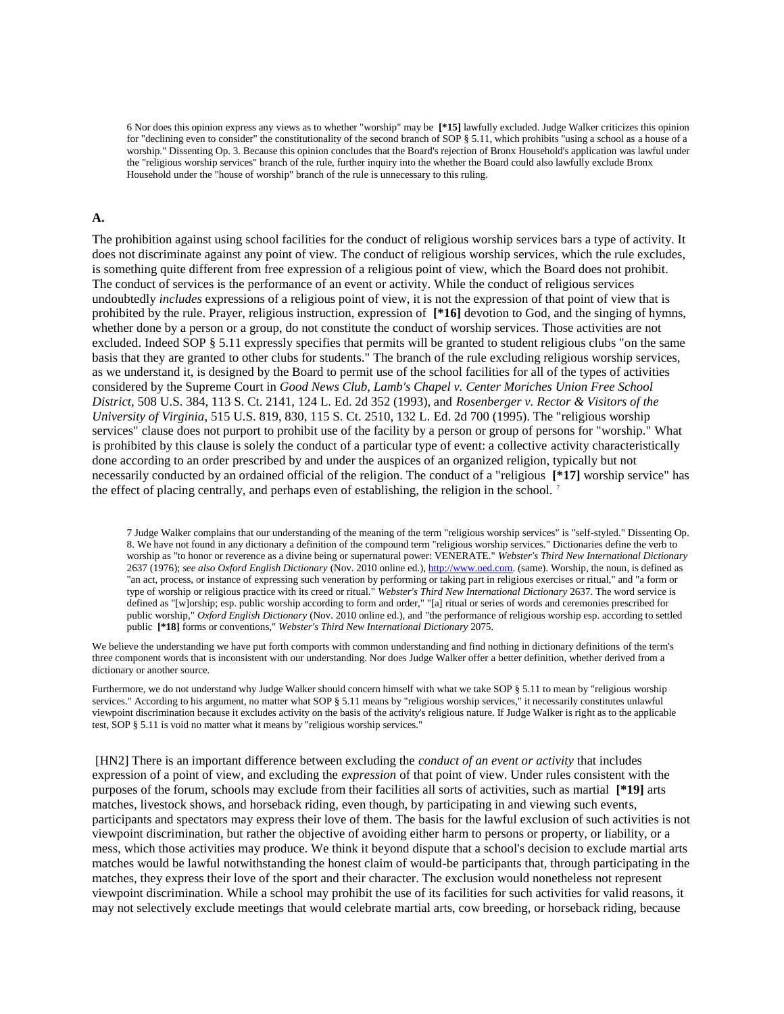6 Nor does this opinion express any views as to whether "worship" may be **[\*15]** lawfully excluded. Judge Walker criticizes this opinion for "declining even to consider" the constitutionality of the second branch of SOP § 5.11, which prohibits "using a school as a house of a worship." Dissenting Op. 3. Because this opinion concludes that the Board's rejection of Bronx Household's application was lawful under the "religious worship services" branch of the rule, further inquiry into the whether the Board could also lawfully exclude Bronx Household under the "house of worship" branch of the rule is unnecessary to this ruling.

# **A.**

The prohibition against using school facilities for the conduct of religious worship services bars a type of activity. It does not discriminate against any point of view. The conduct of religious worship services, which the rule excludes, is something quite different from free expression of a religious point of view, which the Board does not prohibit. The conduct of services is the performance of an event or activity. While the conduct of religious services undoubtedly *includes* expressions of a religious point of view, it is not the expression of that point of view that is prohibited by the rule. Prayer, religious instruction, expression of **[\*16]** devotion to God, and the singing of hymns, whether done by a person or a group, do not constitute the conduct of worship services. Those activities are not excluded. Indeed SOP § 5.11 expressly specifies that permits will be granted to student religious clubs "on the same basis that they are granted to other clubs for students." The branch of the rule excluding religious worship services, as we understand it, is designed by the Board to permit use of the school facilities for all of the types of activities considered by the Supreme Court in *Good News Club, Lamb's Chapel v. Center Moriches Union Free School District*, 508 U.S. 384, 113 S. Ct. 2141, 124 L. Ed. 2d 352 (1993), and *Rosenberger v. Rector & Visitors of the University of Virginia*, 515 U.S. 819, 830, 115 S. Ct. 2510, 132 L. Ed. 2d 700 (1995). The "religious worship services" clause does not purport to prohibit use of the facility by a person or group of persons for "worship." What is prohibited by this clause is solely the conduct of a particular type of event: a collective activity characteristically done according to an order prescribed by and under the auspices of an organized religion, typically but not necessarily conducted by an ordained official of the religion. The conduct of a "religious **[\*17]** worship service" has the effect of placing centrally, and perhaps even of establishing, the religion in the school. <sup>7</sup>

7 Judge Walker complains that our understanding of the meaning of the term "religious worship services" is "self-styled." Dissenting Op. 8. We have not found in any dictionary a definition of the compound term "religious worship services." Dictionaries define the verb to worship as "to honor or reverence as a divine being or supernatural power: VENERATE." *Webster's Third New International Dictionary* 2637 (1976); *see also Oxford English Dictionary* (Nov. 2010 online ed.)[, http://www.oed.com.](http://www.oed.com/) (same). Worship, the noun, is defined as "an act, process, or instance of expressing such veneration by performing or taking part in religious exercises or ritual," and "a form or type of worship or religious practice with its creed or ritual." *Webster's Third New International Dictionary* 2637. The word service is defined as "[w]orship; esp. public worship according to form and order," "[a] ritual or series of words and ceremonies prescribed for public worship," *Oxford English Dictionary* (Nov. 2010 online ed.), and "the performance of religious worship esp. according to settled public **[\*18]** forms or conventions," *Webster's Third New International Dictionary* 2075.

We believe the understanding we have put forth comports with common understanding and find nothing in dictionary definitions of the term's three component words that is inconsistent with our understanding. Nor does Judge Walker offer a better definition, whether derived from a dictionary or another source.

Furthermore, we do not understand why Judge Walker should concern himself with what we take SOP § 5.11 to mean by "religious worship services." According to his argument, no matter what SOP § 5.11 means by "religious worship services," it necessarily constitutes unlawful viewpoint discrimination because it excludes activity on the basis of the activity's religious nature. If Judge Walker is right as to the applicable test, SOP § 5.11 is void no matter what it means by "religious worship services."

[HN2] There is an important difference between excluding the *conduct of an event or activity* that includes expression of a point of view, and excluding the *expression* of that point of view. Under rules consistent with the purposes of the forum, schools may exclude from their facilities all sorts of activities, such as martial **[\*19]** arts matches, livestock shows, and horseback riding, even though, by participating in and viewing such events, participants and spectators may express their love of them. The basis for the lawful exclusion of such activities is not viewpoint discrimination, but rather the objective of avoiding either harm to persons or property, or liability, or a mess, which those activities may produce. We think it beyond dispute that a school's decision to exclude martial arts matches would be lawful notwithstanding the honest claim of would-be participants that, through participating in the matches, they express their love of the sport and their character. The exclusion would nonetheless not represent viewpoint discrimination. While a school may prohibit the use of its facilities for such activities for valid reasons, it may not selectively exclude meetings that would celebrate martial arts, cow breeding, or horseback riding, because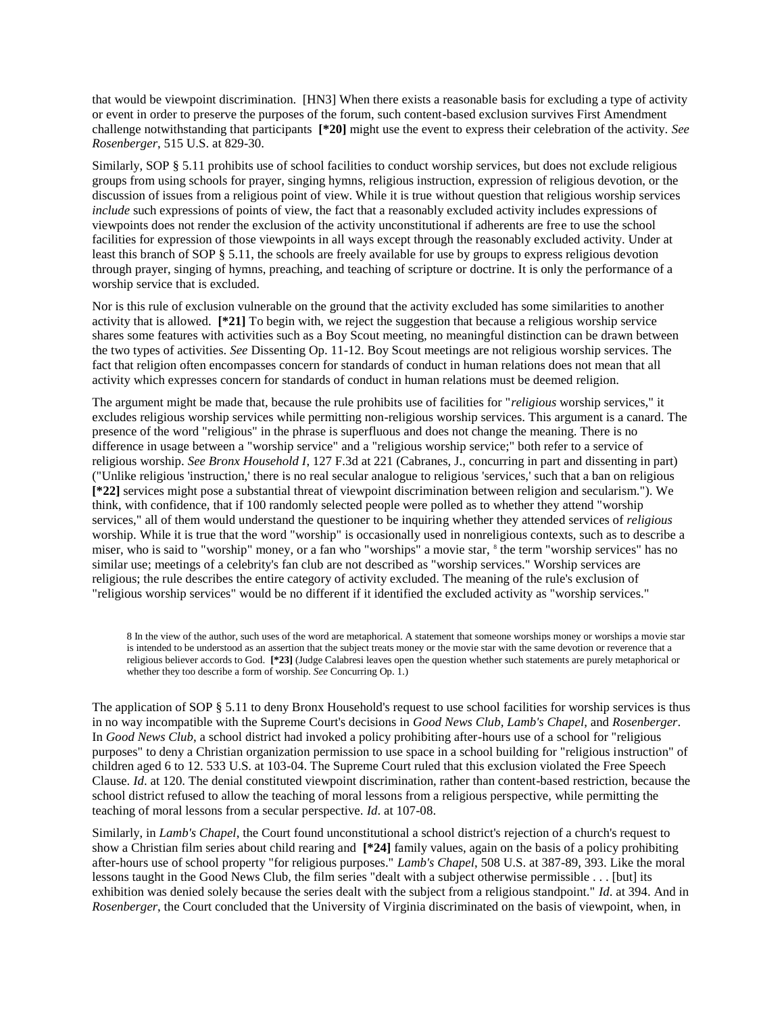that would be viewpoint discrimination. [HN3] When there exists a reasonable basis for excluding a type of activity or event in order to preserve the purposes of the forum, such content-based exclusion survives First Amendment challenge notwithstanding that participants **[\*20]** might use the event to express their celebration of the activity. *See Rosenberger*, 515 U.S. at 829-30.

Similarly, SOP § 5.11 prohibits use of school facilities to conduct worship services, but does not exclude religious groups from using schools for prayer, singing hymns, religious instruction, expression of religious devotion, or the discussion of issues from a religious point of view. While it is true without question that religious worship services *include* such expressions of points of view, the fact that a reasonably excluded activity includes expressions of viewpoints does not render the exclusion of the activity unconstitutional if adherents are free to use the school facilities for expression of those viewpoints in all ways except through the reasonably excluded activity. Under at least this branch of SOP § 5.11, the schools are freely available for use by groups to express religious devotion through prayer, singing of hymns, preaching, and teaching of scripture or doctrine. It is only the performance of a worship service that is excluded.

Nor is this rule of exclusion vulnerable on the ground that the activity excluded has some similarities to another activity that is allowed. **[\*21]** To begin with, we reject the suggestion that because a religious worship service shares some features with activities such as a Boy Scout meeting, no meaningful distinction can be drawn between the two types of activities. *See* Dissenting Op. 11-12. Boy Scout meetings are not religious worship services. The fact that religion often encompasses concern for standards of conduct in human relations does not mean that all activity which expresses concern for standards of conduct in human relations must be deemed religion.

The argument might be made that, because the rule prohibits use of facilities for "*religious* worship services," it excludes religious worship services while permitting non-religious worship services. This argument is a canard. The presence of the word "religious" in the phrase is superfluous and does not change the meaning. There is no difference in usage between a "worship service" and a "religious worship service;" both refer to a service of religious worship. *See Bronx Household I*, 127 F.3d at 221 (Cabranes, J., concurring in part and dissenting in part) ("Unlike religious 'instruction,' there is no real secular analogue to religious 'services,' such that a ban on religious **[\*22]** services might pose a substantial threat of viewpoint discrimination between religion and secularism."). We think, with confidence, that if 100 randomly selected people were polled as to whether they attend "worship services," all of them would understand the questioner to be inquiring whether they attended services of *religious* worship. While it is true that the word "worship" is occasionally used in nonreligious contexts, such as to describe a miser, who is said to "worship" money, or a fan who "worships" a movie star,  $s$  the term "worship services" has no similar use; meetings of a celebrity's fan club are not described as "worship services." Worship services are religious; the rule describes the entire category of activity excluded. The meaning of the rule's exclusion of "religious worship services" would be no different if it identified the excluded activity as "worship services."

8 In the view of the author, such uses of the word are metaphorical. A statement that someone worships money or worships a movie star is intended to be understood as an assertion that the subject treats money or the movie star with the same devotion or reverence that a religious believer accords to God. **[\*23]** (Judge Calabresi leaves open the question whether such statements are purely metaphorical or whether they too describe a form of worship. *See* Concurring Op. 1.)

The application of SOP § 5.11 to deny Bronx Household's request to use school facilities for worship services is thus in no way incompatible with the Supreme Court's decisions in *Good News Club, Lamb's Chapel*, and *Rosenberger*. In *Good News Club*, a school district had invoked a policy prohibiting after-hours use of a school for "religious purposes" to deny a Christian organization permission to use space in a school building for "religious instruction" of children aged 6 to 12. 533 U.S. at 103-04. The Supreme Court ruled that this exclusion violated the Free Speech Clause. *Id*. at 120. The denial constituted viewpoint discrimination, rather than content-based restriction, because the school district refused to allow the teaching of moral lessons from a religious perspective, while permitting the teaching of moral lessons from a secular perspective. *Id*. at 107-08.

Similarly, in *Lamb's Chapel*, the Court found unconstitutional a school district's rejection of a church's request to show a Christian film series about child rearing and **[\*24]** family values, again on the basis of a policy prohibiting after-hours use of school property "for religious purposes." *Lamb's Chapel*, 508 U.S. at 387-89, 393. Like the moral lessons taught in the Good News Club, the film series "dealt with a subject otherwise permissible . . . [but] its exhibition was denied solely because the series dealt with the subject from a religious standpoint." *Id*. at 394. And in *Rosenberger*, the Court concluded that the University of Virginia discriminated on the basis of viewpoint, when, in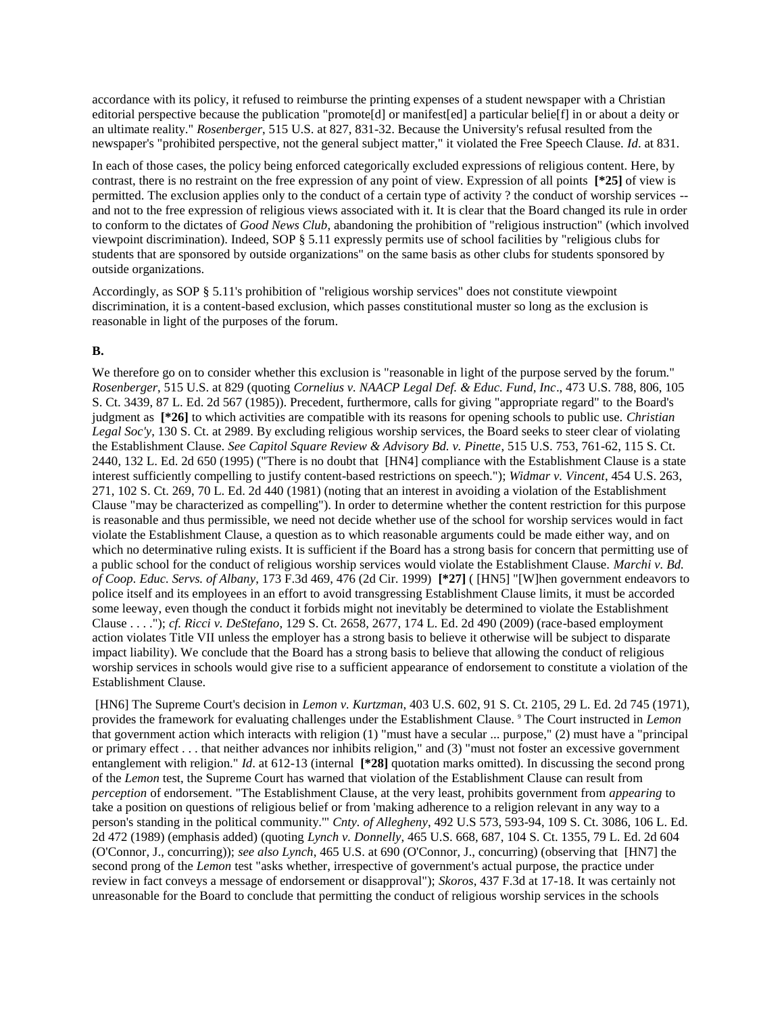accordance with its policy, it refused to reimburse the printing expenses of a student newspaper with a Christian editorial perspective because the publication "promote[d] or manifest[ed] a particular belie[f] in or about a deity or an ultimate reality." *Rosenberger*, 515 U.S. at 827, 831-32. Because the University's refusal resulted from the newspaper's "prohibited perspective, not the general subject matter," it violated the Free Speech Clause. *Id*. at 831.

In each of those cases, the policy being enforced categorically excluded expressions of religious content. Here, by contrast, there is no restraint on the free expression of any point of view. Expression of all points **[\*25]** of view is permitted. The exclusion applies only to the conduct of a certain type of activity ? the conduct of worship services - and not to the free expression of religious views associated with it. It is clear that the Board changed its rule in order to conform to the dictates of *Good News Club*, abandoning the prohibition of "religious instruction" (which involved viewpoint discrimination). Indeed, SOP § 5.11 expressly permits use of school facilities by "religious clubs for students that are sponsored by outside organizations" on the same basis as other clubs for students sponsored by outside organizations.

Accordingly, as SOP § 5.11's prohibition of "religious worship services" does not constitute viewpoint discrimination, it is a content-based exclusion, which passes constitutional muster so long as the exclusion is reasonable in light of the purposes of the forum.

## **B.**

We therefore go on to consider whether this exclusion is "reasonable in light of the purpose served by the forum." *Rosenberger*, 515 U.S. at 829 (quoting *Cornelius v. NAACP Legal Def. & Educ. Fund, Inc*., 473 U.S. 788, 806, 105 S. Ct. 3439, 87 L. Ed. 2d 567 (1985)). Precedent, furthermore, calls for giving "appropriate regard" to the Board's judgment as **[\*26]** to which activities are compatible with its reasons for opening schools to public use. *Christian Legal Soc'y*, 130 S. Ct. at 2989. By excluding religious worship services, the Board seeks to steer clear of violating the Establishment Clause. *See Capitol Square Review & Advisory Bd. v. Pinette*, 515 U.S. 753, 761-62, 115 S. Ct. 2440, 132 L. Ed. 2d 650 (1995) ("There is no doubt that [HN4] compliance with the Establishment Clause is a state interest sufficiently compelling to justify content-based restrictions on speech."); *Widmar v. Vincent*, 454 U.S. 263, 271, 102 S. Ct. 269, 70 L. Ed. 2d 440 (1981) (noting that an interest in avoiding a violation of the Establishment Clause "may be characterized as compelling"). In order to determine whether the content restriction for this purpose is reasonable and thus permissible, we need not decide whether use of the school for worship services would in fact violate the Establishment Clause, a question as to which reasonable arguments could be made either way, and on which no determinative ruling exists. It is sufficient if the Board has a strong basis for concern that permitting use of a public school for the conduct of religious worship services would violate the Establishment Clause. *Marchi v. Bd. of Coop. Educ. Servs. of Albany*, 173 F.3d 469, 476 (2d Cir. 1999) **[\*27]** ( [HN5] "[W]hen government endeavors to police itself and its employees in an effort to avoid transgressing Establishment Clause limits, it must be accorded some leeway, even though the conduct it forbids might not inevitably be determined to violate the Establishment Clause . . . ."); *cf. Ricci v. DeStefano*, 129 S. Ct. 2658, 2677, 174 L. Ed. 2d 490 (2009) (race-based employment action violates Title VII unless the employer has a strong basis to believe it otherwise will be subject to disparate impact liability). We conclude that the Board has a strong basis to believe that allowing the conduct of religious worship services in schools would give rise to a sufficient appearance of endorsement to constitute a violation of the Establishment Clause.

[HN6] The Supreme Court's decision in *Lemon v. Kurtzman*, 403 U.S. 602, 91 S. Ct. 2105, 29 L. Ed. 2d 745 (1971), provides the framework for evaluating challenges under the Establishment Clause. <sup>9</sup> The Court instructed in *Lemon* that government action which interacts with religion (1) "must have a secular ... purpose," (2) must have a "principal or primary effect . . . that neither advances nor inhibits religion," and (3) "must not foster an excessive government entanglement with religion." *Id*. at 612-13 (internal **[\*28]** quotation marks omitted). In discussing the second prong of the *Lemon* test, the Supreme Court has warned that violation of the Establishment Clause can result from *perception* of endorsement. "The Establishment Clause, at the very least, prohibits government from *appearing* to take a position on questions of religious belief or from 'making adherence to a religion relevant in any way to a person's standing in the political community.'" *Cnty. of Allegheny*, 492 U.S 573, 593-94, 109 S. Ct. 3086, 106 L. Ed. 2d 472 (1989) (emphasis added) (quoting *Lynch v. Donnelly*, 465 U.S. 668, 687, 104 S. Ct. 1355, 79 L. Ed. 2d 604 (O'Connor, J., concurring)); *see also Lynch*, 465 U.S. at 690 (O'Connor, J., concurring) (observing that [HN7] the second prong of the *Lemon* test "asks whether, irrespective of government's actual purpose, the practice under review in fact conveys a message of endorsement or disapproval"); *Skoros*, 437 F.3d at 17-18. It was certainly not unreasonable for the Board to conclude that permitting the conduct of religious worship services in the schools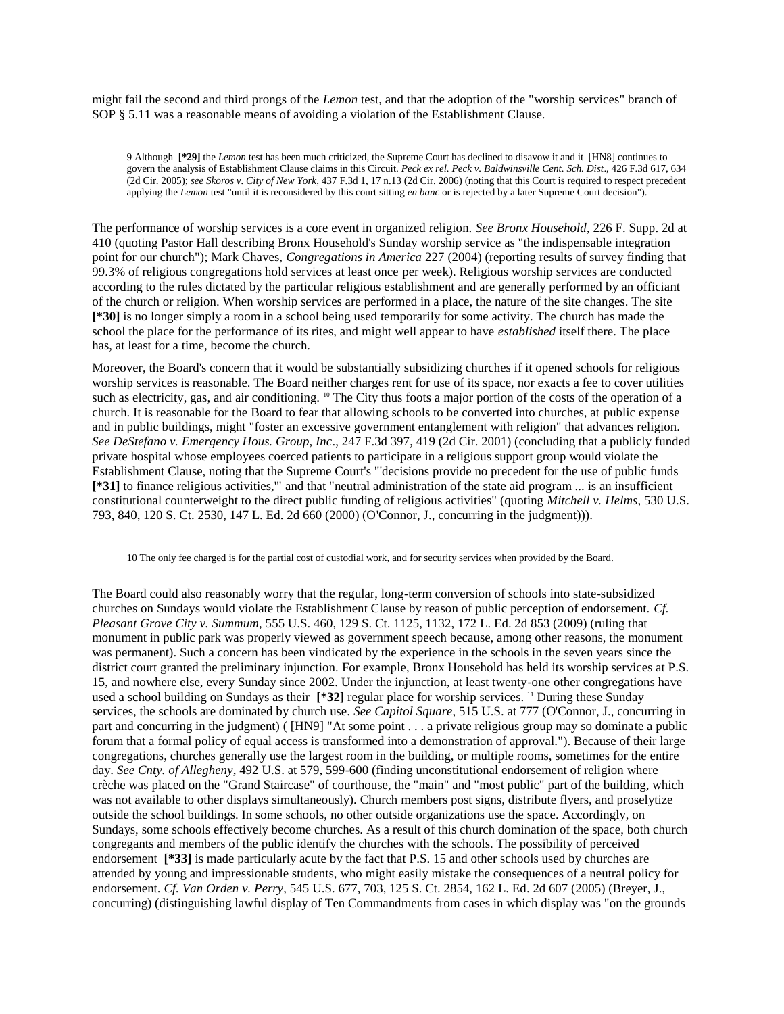might fail the second and third prongs of the *Lemon* test, and that the adoption of the "worship services" branch of SOP § 5.11 was a reasonable means of avoiding a violation of the Establishment Clause.

9 Although **[\*29]** the *Lemon* test has been much criticized, the Supreme Court has declined to disavow it and it [HN8] continues to govern the analysis of Establishment Clause claims in this Circuit. *Peck ex rel. Peck v. Baldwinsville Cent. Sch. Dist*., 426 F.3d 617, 634 (2d Cir. 2005); *see Skoros v. City of New York*, 437 F.3d 1, 17 n.13 (2d Cir. 2006) (noting that this Court is required to respect precedent applying the *Lemon* test "until it is reconsidered by this court sitting *en banc* or is rejected by a later Supreme Court decision").

The performance of worship services is a core event in organized religion. *See Bronx Household*, 226 F. Supp. 2d at 410 (quoting Pastor Hall describing Bronx Household's Sunday worship service as "the indispensable integration point for our church"); Mark Chaves, *Congregations in America* 227 (2004) (reporting results of survey finding that 99.3% of religious congregations hold services at least once per week). Religious worship services are conducted according to the rules dictated by the particular religious establishment and are generally performed by an officiant of the church or religion. When worship services are performed in a place, the nature of the site changes. The site **[\*30]** is no longer simply a room in a school being used temporarily for some activity. The church has made the school the place for the performance of its rites, and might well appear to have *established* itself there. The place has, at least for a time, become the church.

Moreover, the Board's concern that it would be substantially subsidizing churches if it opened schools for religious worship services is reasonable. The Board neither charges rent for use of its space, nor exacts a fee to cover utilities such as electricity, gas, and air conditioning. <sup>10</sup> The City thus foots a major portion of the costs of the operation of a church. It is reasonable for the Board to fear that allowing schools to be converted into churches, at public expense and in public buildings, might "foster an excessive government entanglement with religion" that advances religion. *See DeStefano v. Emergency Hous. Group, Inc*., 247 F.3d 397, 419 (2d Cir. 2001) (concluding that a publicly funded private hospital whose employees coerced patients to participate in a religious support group would violate the Establishment Clause, noting that the Supreme Court's "'decisions provide no precedent for the use of public funds **[\*31]** to finance religious activities,'" and that "neutral administration of the state aid program ... is an insufficient constitutional counterweight to the direct public funding of religious activities" (quoting *Mitchell v. Helms*, 530 U.S. 793, 840, 120 S. Ct. 2530, 147 L. Ed. 2d 660 (2000) (O'Connor, J., concurring in the judgment))).

10 The only fee charged is for the partial cost of custodial work, and for security services when provided by the Board.

The Board could also reasonably worry that the regular, long-term conversion of schools into state-subsidized churches on Sundays would violate the Establishment Clause by reason of public perception of endorsement. *Cf. Pleasant Grove City v. Summum*, 555 U.S. 460, 129 S. Ct. 1125, 1132, 172 L. Ed. 2d 853 (2009) (ruling that monument in public park was properly viewed as government speech because, among other reasons, the monument was permanent). Such a concern has been vindicated by the experience in the schools in the seven years since the district court granted the preliminary injunction. For example, Bronx Household has held its worship services at P.S. 15, and nowhere else, every Sunday since 2002. Under the injunction, at least twenty-one other congregations have used a school building on Sundays as their **[\*32]** regular place for worship services. <sup>11</sup> During these Sunday services, the schools are dominated by church use. *See Capitol Square*, 515 U.S. at 777 (O'Connor, J., concurring in part and concurring in the judgment) ( [HN9] "At some point . . . a private religious group may so dominate a public forum that a formal policy of equal access is transformed into a demonstration of approval."). Because of their large congregations, churches generally use the largest room in the building, or multiple rooms, sometimes for the entire day. *See Cnty. of Allegheny*, 492 U.S. at 579, 599-600 (finding unconstitutional endorsement of religion where crèche was placed on the "Grand Staircase" of courthouse, the "main" and "most public" part of the building, which was not available to other displays simultaneously). Church members post signs, distribute flyers, and proselytize outside the school buildings. In some schools, no other outside organizations use the space. Accordingly, on Sundays, some schools effectively become churches. As a result of this church domination of the space, both church congregants and members of the public identify the churches with the schools. The possibility of perceived endorsement **[\*33]** is made particularly acute by the fact that P.S. 15 and other schools used by churches are attended by young and impressionable students, who might easily mistake the consequences of a neutral policy for endorsement. *Cf. Van Orden v. Perry*, 545 U.S. 677, 703, 125 S. Ct. 2854, 162 L. Ed. 2d 607 (2005) (Breyer, J., concurring) (distinguishing lawful display of Ten Commandments from cases in which display was "on the grounds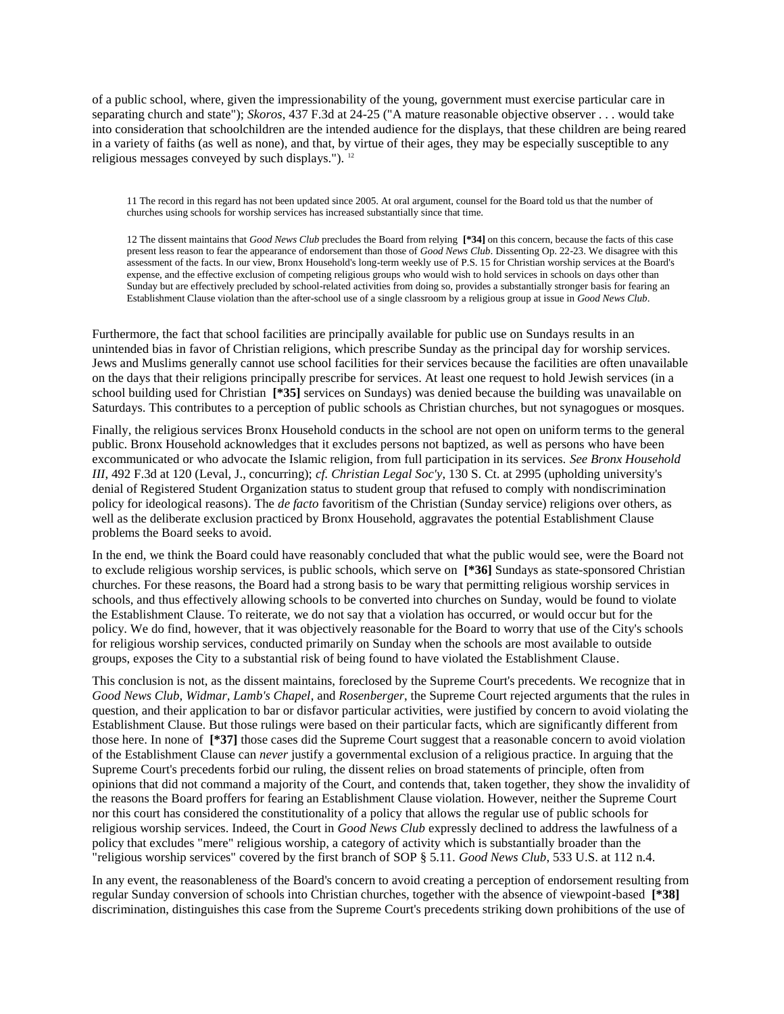of a public school, where, given the impressionability of the young, government must exercise particular care in separating church and state"); *Skoros*, 437 F.3d at 24-25 ("A mature reasonable objective observer . . . would take into consideration that schoolchildren are the intended audience for the displays, that these children are being reared in a variety of faiths (as well as none), and that, by virtue of their ages, they may be especially susceptible to any religious messages conveyed by such displays."). <sup>12</sup>

11 The record in this regard has not been updated since 2005. At oral argument, counsel for the Board told us that the number of churches using schools for worship services has increased substantially since that time.

12 The dissent maintains that *Good News Club* precludes the Board from relying **[\*34]** on this concern, because the facts of this case present less reason to fear the appearance of endorsement than those of *Good News Club*. Dissenting Op. 22-23. We disagree with this assessment of the facts. In our view, Bronx Household's long-term weekly use of P.S. 15 for Christian worship services at the Board's expense, and the effective exclusion of competing religious groups who would wish to hold services in schools on days other than Sunday but are effectively precluded by school-related activities from doing so, provides a substantially stronger basis for fearing an Establishment Clause violation than the after-school use of a single classroom by a religious group at issue in *Good News Club*.

Furthermore, the fact that school facilities are principally available for public use on Sundays results in an unintended bias in favor of Christian religions, which prescribe Sunday as the principal day for worship services. Jews and Muslims generally cannot use school facilities for their services because the facilities are often unavailable on the days that their religions principally prescribe for services. At least one request to hold Jewish services (in a school building used for Christian **[\*35]** services on Sundays) was denied because the building was unavailable on Saturdays. This contributes to a perception of public schools as Christian churches, but not synagogues or mosques.

Finally, the religious services Bronx Household conducts in the school are not open on uniform terms to the general public. Bronx Household acknowledges that it excludes persons not baptized, as well as persons who have been excommunicated or who advocate the Islamic religion, from full participation in its services. *See Bronx Household III*, 492 F.3d at 120 (Leval, J., concurring); *cf. Christian Legal Soc'y*, 130 S. Ct. at 2995 (upholding university's denial of Registered Student Organization status to student group that refused to comply with nondiscrimination policy for ideological reasons). The *de facto* favoritism of the Christian (Sunday service) religions over others, as well as the deliberate exclusion practiced by Bronx Household, aggravates the potential Establishment Clause problems the Board seeks to avoid.

In the end, we think the Board could have reasonably concluded that what the public would see, were the Board not to exclude religious worship services, is public schools, which serve on **[\*36]** Sundays as state-sponsored Christian churches. For these reasons, the Board had a strong basis to be wary that permitting religious worship services in schools, and thus effectively allowing schools to be converted into churches on Sunday, would be found to violate the Establishment Clause. To reiterate, we do not say that a violation has occurred, or would occur but for the policy. We do find, however, that it was objectively reasonable for the Board to worry that use of the City's schools for religious worship services, conducted primarily on Sunday when the schools are most available to outside groups, exposes the City to a substantial risk of being found to have violated the Establishment Clause.

This conclusion is not, as the dissent maintains, foreclosed by the Supreme Court's precedents. We recognize that in *Good News Club, Widmar, Lamb's Chapel*, and *Rosenberger*, the Supreme Court rejected arguments that the rules in question, and their application to bar or disfavor particular activities, were justified by concern to avoid violating the Establishment Clause. But those rulings were based on their particular facts, which are significantly different from those here. In none of **[\*37]** those cases did the Supreme Court suggest that a reasonable concern to avoid violation of the Establishment Clause can *never* justify a governmental exclusion of a religious practice. In arguing that the Supreme Court's precedents forbid our ruling, the dissent relies on broad statements of principle, often from opinions that did not command a majority of the Court, and contends that, taken together, they show the invalidity of the reasons the Board proffers for fearing an Establishment Clause violation. However, neither the Supreme Court nor this court has considered the constitutionality of a policy that allows the regular use of public schools for religious worship services. Indeed, the Court in *Good News Club* expressly declined to address the lawfulness of a policy that excludes "mere" religious worship, a category of activity which is substantially broader than the "religious worship services" covered by the first branch of SOP § 5.11. *Good News Club*, 533 U.S. at 112 n.4.

In any event, the reasonableness of the Board's concern to avoid creating a perception of endorsement resulting from regular Sunday conversion of schools into Christian churches, together with the absence of viewpoint-based **[\*38]** discrimination, distinguishes this case from the Supreme Court's precedents striking down prohibitions of the use of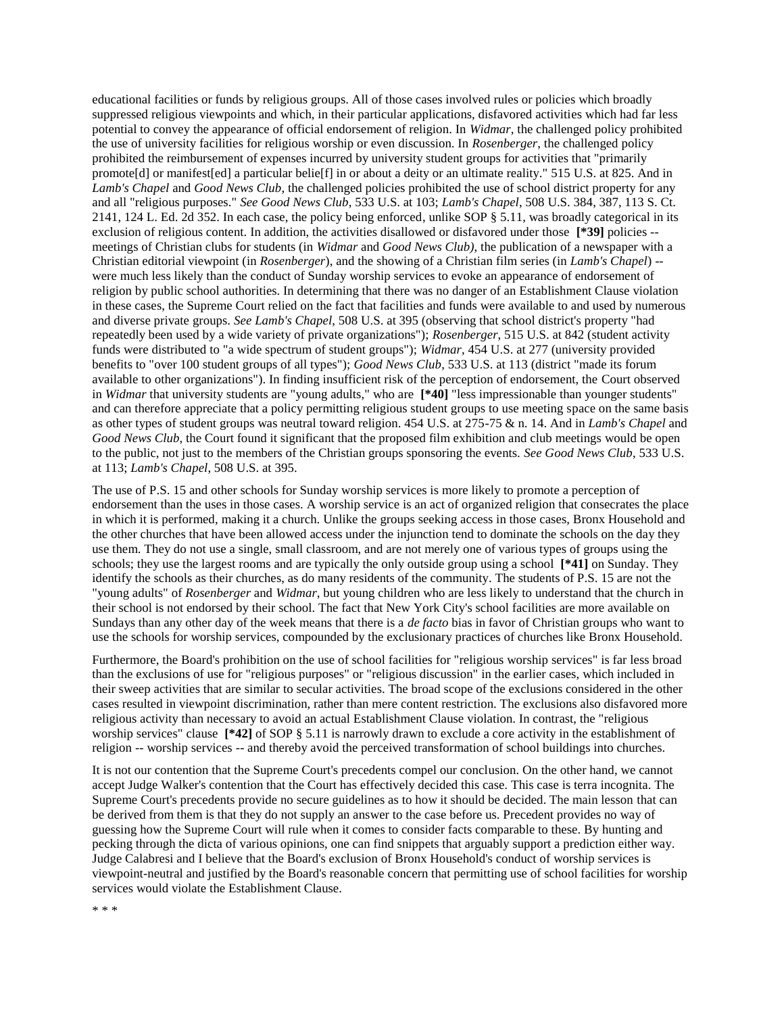educational facilities or funds by religious groups. All of those cases involved rules or policies which broadly suppressed religious viewpoints and which, in their particular applications, disfavored activities which had far less potential to convey the appearance of official endorsement of religion. In *Widmar*, the challenged policy prohibited the use of university facilities for religious worship or even discussion. In *Rosenberger*, the challenged policy prohibited the reimbursement of expenses incurred by university student groups for activities that "primarily promote[d] or manifest[ed] a particular belie[f] in or about a deity or an ultimate reality." 515 U.S. at 825. And in *Lamb's Chapel* and *Good News Club*, the challenged policies prohibited the use of school district property for any and all "religious purposes." *See Good News Club*, 533 U.S. at 103; *Lamb's Chapel*, 508 U.S. 384, 387, 113 S. Ct. 2141, 124 L. Ed. 2d 352. In each case, the policy being enforced, unlike SOP § 5.11, was broadly categorical in its exclusion of religious content. In addition, the activities disallowed or disfavored under those **[\*39]** policies - meetings of Christian clubs for students (in *Widmar* and *Good News Club)*, the publication of a newspaper with a Christian editorial viewpoint (in *Rosenberger*), and the showing of a Christian film series (in *Lamb's Chapel*) - were much less likely than the conduct of Sunday worship services to evoke an appearance of endorsement of religion by public school authorities. In determining that there was no danger of an Establishment Clause violation in these cases, the Supreme Court relied on the fact that facilities and funds were available to and used by numerous and diverse private groups. *See Lamb's Chapel*, 508 U.S. at 395 (observing that school district's property "had repeatedly been used by a wide variety of private organizations"); *Rosenberger*, 515 U.S. at 842 (student activity funds were distributed to "a wide spectrum of student groups"); *Widmar*, 454 U.S. at 277 (university provided benefits to "over 100 student groups of all types"); *Good News Club*, 533 U.S. at 113 (district "made its forum available to other organizations"). In finding insufficient risk of the perception of endorsement, the Court observed in *Widmar* that university students are "young adults," who are **[\*40]** "less impressionable than younger students" and can therefore appreciate that a policy permitting religious student groups to use meeting space on the same basis as other types of student groups was neutral toward religion. 454 U.S. at 275-75 & n. 14. And in *Lamb's Chapel* and *Good News Club*, the Court found it significant that the proposed film exhibition and club meetings would be open to the public, not just to the members of the Christian groups sponsoring the events. *See Good News Club*, 533 U.S. at 113; *Lamb's Chapel*, 508 U.S. at 395.

The use of P.S. 15 and other schools for Sunday worship services is more likely to promote a perception of endorsement than the uses in those cases. A worship service is an act of organized religion that consecrates the place in which it is performed, making it a church. Unlike the groups seeking access in those cases, Bronx Household and the other churches that have been allowed access under the injunction tend to dominate the schools on the day they use them. They do not use a single, small classroom, and are not merely one of various types of groups using the schools; they use the largest rooms and are typically the only outside group using a school **[\*41]** on Sunday. They identify the schools as their churches, as do many residents of the community. The students of P.S. 15 are not the "young adults" of *Rosenberger* and *Widmar*, but young children who are less likely to understand that the church in their school is not endorsed by their school. The fact that New York City's school facilities are more available on Sundays than any other day of the week means that there is a *de facto* bias in favor of Christian groups who want to use the schools for worship services, compounded by the exclusionary practices of churches like Bronx Household.

Furthermore, the Board's prohibition on the use of school facilities for "religious worship services" is far less broad than the exclusions of use for "religious purposes" or "religious discussion" in the earlier cases, which included in their sweep activities that are similar to secular activities. The broad scope of the exclusions considered in the other cases resulted in viewpoint discrimination, rather than mere content restriction. The exclusions also disfavored more religious activity than necessary to avoid an actual Establishment Clause violation. In contrast, the "religious worship services" clause **[\*42]** of SOP § 5.11 is narrowly drawn to exclude a core activity in the establishment of religion -- worship services -- and thereby avoid the perceived transformation of school buildings into churches.

It is not our contention that the Supreme Court's precedents compel our conclusion. On the other hand, we cannot accept Judge Walker's contention that the Court has effectively decided this case. This case is terra incognita. The Supreme Court's precedents provide no secure guidelines as to how it should be decided. The main lesson that can be derived from them is that they do not supply an answer to the case before us. Precedent provides no way of guessing how the Supreme Court will rule when it comes to consider facts comparable to these. By hunting and pecking through the dicta of various opinions, one can find snippets that arguably support a prediction either way. Judge Calabresi and I believe that the Board's exclusion of Bronx Household's conduct of worship services is viewpoint-neutral and justified by the Board's reasonable concern that permitting use of school facilities for worship services would violate the Establishment Clause.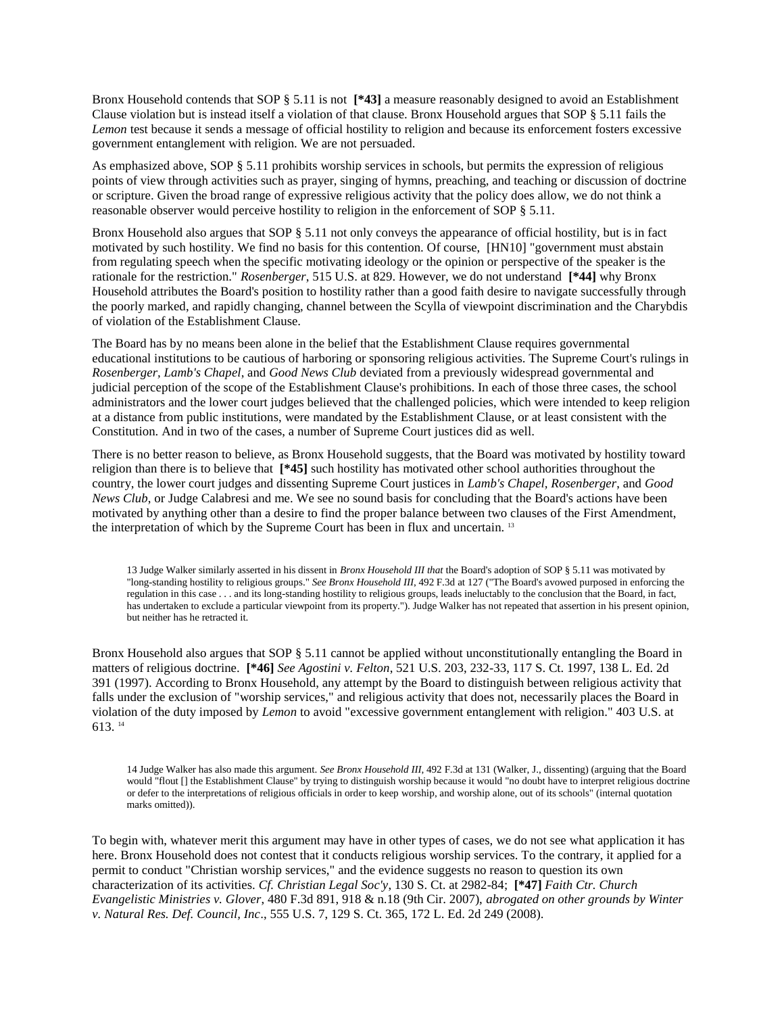Bronx Household contends that SOP § 5.11 is not **[\*43]** a measure reasonably designed to avoid an Establishment Clause violation but is instead itself a violation of that clause. Bronx Household argues that SOP § 5.11 fails the *Lemon* test because it sends a message of official hostility to religion and because its enforcement fosters excessive government entanglement with religion. We are not persuaded.

As emphasized above, SOP § 5.11 prohibits worship services in schools, but permits the expression of religious points of view through activities such as prayer, singing of hymns, preaching, and teaching or discussion of doctrine or scripture. Given the broad range of expressive religious activity that the policy does allow, we do not think a reasonable observer would perceive hostility to religion in the enforcement of SOP § 5.11.

Bronx Household also argues that SOP § 5.11 not only conveys the appearance of official hostility, but is in fact motivated by such hostility. We find no basis for this contention. Of course, [HN10] "government must abstain from regulating speech when the specific motivating ideology or the opinion or perspective of the speaker is the rationale for the restriction." *Rosenberger*, 515 U.S. at 829. However, we do not understand **[\*44]** why Bronx Household attributes the Board's position to hostility rather than a good faith desire to navigate successfully through the poorly marked, and rapidly changing, channel between the Scylla of viewpoint discrimination and the Charybdis of violation of the Establishment Clause.

The Board has by no means been alone in the belief that the Establishment Clause requires governmental educational institutions to be cautious of harboring or sponsoring religious activities. The Supreme Court's rulings in *Rosenberger, Lamb's Chapel*, and *Good News Club* deviated from a previously widespread governmental and judicial perception of the scope of the Establishment Clause's prohibitions. In each of those three cases, the school administrators and the lower court judges believed that the challenged policies, which were intended to keep religion at a distance from public institutions, were mandated by the Establishment Clause, or at least consistent with the Constitution. And in two of the cases, a number of Supreme Court justices did as well.

There is no better reason to believe, as Bronx Household suggests, that the Board was motivated by hostility toward religion than there is to believe that **[\*45]** such hostility has motivated other school authorities throughout the country, the lower court judges and dissenting Supreme Court justices in *Lamb's Chapel, Rosenberger*, and *Good News Club*, or Judge Calabresi and me. We see no sound basis for concluding that the Board's actions have been motivated by anything other than a desire to find the proper balance between two clauses of the First Amendment, the interpretation of which by the Supreme Court has been in flux and uncertain. <sup>13</sup>

13 Judge Walker similarly asserted in his dissent in *Bronx Household III that* the Board's adoption of SOP § 5.11 was motivated by "long-standing hostility to religious groups." *See Bronx Household III*, 492 F.3d at 127 ("The Board's avowed purposed in enforcing the regulation in this case . . . and its long-standing hostility to religious groups, leads ineluctably to the conclusion that the Board, in fact, has undertaken to exclude a particular viewpoint from its property."). Judge Walker has not repeated that assertion in his present opinion, but neither has he retracted it.

Bronx Household also argues that SOP § 5.11 cannot be applied without unconstitutionally entangling the Board in matters of religious doctrine. **[\*46]** *See Agostini v. Felton*, 521 U.S. 203, 232-33, 117 S. Ct. 1997, 138 L. Ed. 2d 391 (1997). According to Bronx Household, any attempt by the Board to distinguish between religious activity that falls under the exclusion of "worship services," and religious activity that does not, necessarily places the Board in violation of the duty imposed by *Lemon* to avoid "excessive government entanglement with religion." 403 U.S. at 613. <sup>14</sup>

14 Judge Walker has also made this argument. *See Bronx Household III*, 492 F.3d at 131 (Walker, J., dissenting) (arguing that the Board would "flout [] the Establishment Clause" by trying to distinguish worship because it would "no doubt have to interpret religious doctrine or defer to the interpretations of religious officials in order to keep worship, and worship alone, out of its schools" (internal quotation marks omitted)).

To begin with, whatever merit this argument may have in other types of cases, we do not see what application it has here. Bronx Household does not contest that it conducts religious worship services. To the contrary, it applied for a permit to conduct "Christian worship services," and the evidence suggests no reason to question its own characterization of its activities. *Cf. Christian Legal Soc'y*, 130 S. Ct. at 2982-84; **[\*47]** *Faith Ctr. Church Evangelistic Ministries v. Glover*, 480 F.3d 891, 918 & n.18 (9th Cir. 2007), *abrogated on other grounds by Winter v. Natural Res. Def. Council, Inc*., 555 U.S. 7, 129 S. Ct. 365, 172 L. Ed. 2d 249 (2008).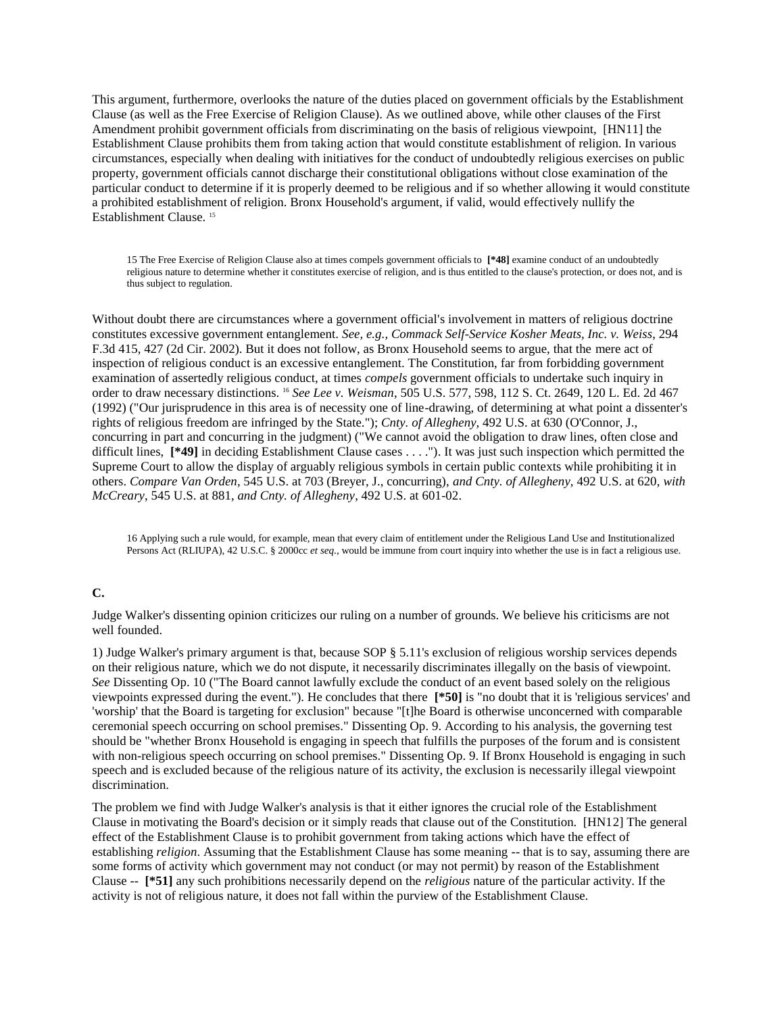This argument, furthermore, overlooks the nature of the duties placed on government officials by the Establishment Clause (as well as the Free Exercise of Religion Clause). As we outlined above, while other clauses of the First Amendment prohibit government officials from discriminating on the basis of religious viewpoint, [HN11] the Establishment Clause prohibits them from taking action that would constitute establishment of religion. In various circumstances, especially when dealing with initiatives for the conduct of undoubtedly religious exercises on public property, government officials cannot discharge their constitutional obligations without close examination of the particular conduct to determine if it is properly deemed to be religious and if so whether allowing it would constitute a prohibited establishment of religion. Bronx Household's argument, if valid, would effectively nullify the Establishment Clause. <sup>15</sup>

15 The Free Exercise of Religion Clause also at times compels government officials to **[\*48]** examine conduct of an undoubtedly religious nature to determine whether it constitutes exercise of religion, and is thus entitled to the clause's protection, or does not, and is thus subject to regulation.

Without doubt there are circumstances where a government official's involvement in matters of religious doctrine constitutes excessive government entanglement. *See, e.g., Commack Self-Service Kosher Meats, Inc. v. Weiss*, 294 F.3d 415, 427 (2d Cir. 2002). But it does not follow, as Bronx Household seems to argue, that the mere act of inspection of religious conduct is an excessive entanglement. The Constitution, far from forbidding government examination of assertedly religious conduct, at times *compels* government officials to undertake such inquiry in order to draw necessary distinctions. <sup>16</sup> *See Lee v. Weisman*, 505 U.S. 577, 598, 112 S. Ct. 2649, 120 L. Ed. 2d 467 (1992) ("Our jurisprudence in this area is of necessity one of line-drawing, of determining at what point a dissenter's rights of religious freedom are infringed by the State."); *Cnty. of Allegheny*, 492 U.S. at 630 (O'Connor, J., concurring in part and concurring in the judgment) ("We cannot avoid the obligation to draw lines, often close and difficult lines, **[\*49]** in deciding Establishment Clause cases . . . ."). It was just such inspection which permitted the Supreme Court to allow the display of arguably religious symbols in certain public contexts while prohibiting it in others. *Compare Van Orden*, 545 U.S. at 703 (Breyer, J., concurring), *and Cnty. of Allegheny*, 492 U.S. at 620, *with McCreary*, 545 U.S. at 881, *and Cnty. of Allegheny*, 492 U.S. at 601-02.

16 Applying such a rule would, for example, mean that every claim of entitlement under the Religious Land Use and Institutionalized Persons Act (RLIUPA), 42 U.S.C. § 2000cc *et seq*., would be immune from court inquiry into whether the use is in fact a religious use.

## **C.**

Judge Walker's dissenting opinion criticizes our ruling on a number of grounds. We believe his criticisms are not well founded.

1) Judge Walker's primary argument is that, because SOP § 5.11's exclusion of religious worship services depends on their religious nature, which we do not dispute, it necessarily discriminates illegally on the basis of viewpoint. *See* Dissenting Op. 10 ("The Board cannot lawfully exclude the conduct of an event based solely on the religious viewpoints expressed during the event."). He concludes that there **[\*50]** is "no doubt that it is 'religious services' and 'worship' that the Board is targeting for exclusion" because "[t]he Board is otherwise unconcerned with comparable ceremonial speech occurring on school premises." Dissenting Op. 9. According to his analysis, the governing test should be "whether Bronx Household is engaging in speech that fulfills the purposes of the forum and is consistent with non-religious speech occurring on school premises." Dissenting Op. 9. If Bronx Household is engaging in such speech and is excluded because of the religious nature of its activity, the exclusion is necessarily illegal viewpoint discrimination.

The problem we find with Judge Walker's analysis is that it either ignores the crucial role of the Establishment Clause in motivating the Board's decision or it simply reads that clause out of the Constitution. [HN12] The general effect of the Establishment Clause is to prohibit government from taking actions which have the effect of establishing *religion*. Assuming that the Establishment Clause has some meaning -- that is to say, assuming there are some forms of activity which government may not conduct (or may not permit) by reason of the Establishment Clause -- **[\*51]** any such prohibitions necessarily depend on the *religious* nature of the particular activity. If the activity is not of religious nature, it does not fall within the purview of the Establishment Clause.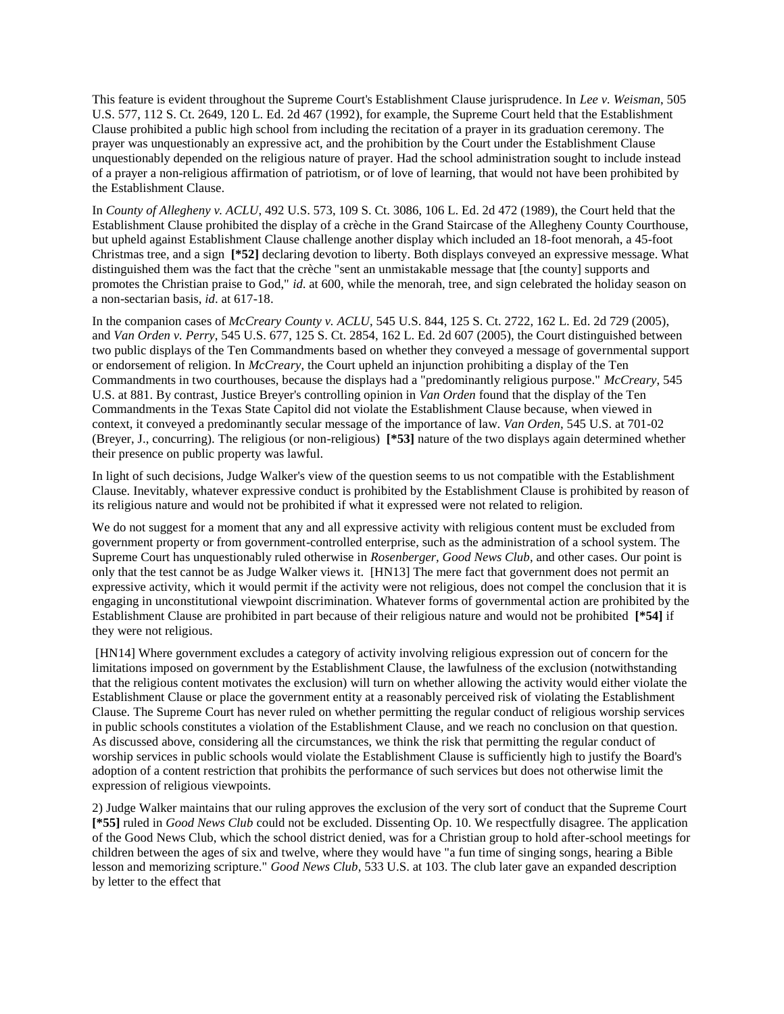This feature is evident throughout the Supreme Court's Establishment Clause jurisprudence. In *Lee v. Weisman*, 505 U.S. 577, 112 S. Ct. 2649, 120 L. Ed. 2d 467 (1992), for example, the Supreme Court held that the Establishment Clause prohibited a public high school from including the recitation of a prayer in its graduation ceremony. The prayer was unquestionably an expressive act, and the prohibition by the Court under the Establishment Clause unquestionably depended on the religious nature of prayer. Had the school administration sought to include instead of a prayer a non-religious affirmation of patriotism, or of love of learning, that would not have been prohibited by the Establishment Clause.

In *County of Allegheny v. ACLU*, 492 U.S. 573, 109 S. Ct. 3086, 106 L. Ed. 2d 472 (1989), the Court held that the Establishment Clause prohibited the display of a crèche in the Grand Staircase of the Allegheny County Courthouse, but upheld against Establishment Clause challenge another display which included an 18-foot menorah, a 45-foot Christmas tree, and a sign **[\*52]** declaring devotion to liberty. Both displays conveyed an expressive message. What distinguished them was the fact that the crèche "sent an unmistakable message that [the county] supports and promotes the Christian praise to God," *id*. at 600, while the menorah, tree, and sign celebrated the holiday season on a non-sectarian basis, *id*. at 617-18.

In the companion cases of *McCreary County v. ACLU*, 545 U.S. 844, 125 S. Ct. 2722, 162 L. Ed. 2d 729 (2005), and *Van Orden v. Perry*, 545 U.S. 677, 125 S. Ct. 2854, 162 L. Ed. 2d 607 (2005), the Court distinguished between two public displays of the Ten Commandments based on whether they conveyed a message of governmental support or endorsement of religion. In *McCreary*, the Court upheld an injunction prohibiting a display of the Ten Commandments in two courthouses, because the displays had a "predominantly religious purpose." *McCreary*, 545 U.S. at 881. By contrast, Justice Breyer's controlling opinion in *Van Orden* found that the display of the Ten Commandments in the Texas State Capitol did not violate the Establishment Clause because, when viewed in context, it conveyed a predominantly secular message of the importance of law. *Van Orden*, 545 U.S. at 701-02 (Breyer, J., concurring). The religious (or non-religious) **[\*53]** nature of the two displays again determined whether their presence on public property was lawful.

In light of such decisions, Judge Walker's view of the question seems to us not compatible with the Establishment Clause. Inevitably, whatever expressive conduct is prohibited by the Establishment Clause is prohibited by reason of its religious nature and would not be prohibited if what it expressed were not related to religion.

We do not suggest for a moment that any and all expressive activity with religious content must be excluded from government property or from government-controlled enterprise, such as the administration of a school system. The Supreme Court has unquestionably ruled otherwise in *Rosenberger, Good News Club*, and other cases. Our point is only that the test cannot be as Judge Walker views it. [HN13] The mere fact that government does not permit an expressive activity, which it would permit if the activity were not religious, does not compel the conclusion that it is engaging in unconstitutional viewpoint discrimination. Whatever forms of governmental action are prohibited by the Establishment Clause are prohibited in part because of their religious nature and would not be prohibited **[\*54]** if they were not religious.

[HN14] Where government excludes a category of activity involving religious expression out of concern for the limitations imposed on government by the Establishment Clause, the lawfulness of the exclusion (notwithstanding that the religious content motivates the exclusion) will turn on whether allowing the activity would either violate the Establishment Clause or place the government entity at a reasonably perceived risk of violating the Establishment Clause. The Supreme Court has never ruled on whether permitting the regular conduct of religious worship services in public schools constitutes a violation of the Establishment Clause, and we reach no conclusion on that question. As discussed above, considering all the circumstances, we think the risk that permitting the regular conduct of worship services in public schools would violate the Establishment Clause is sufficiently high to justify the Board's adoption of a content restriction that prohibits the performance of such services but does not otherwise limit the expression of religious viewpoints.

2) Judge Walker maintains that our ruling approves the exclusion of the very sort of conduct that the Supreme Court **[\*55]** ruled in *Good News Club* could not be excluded. Dissenting Op. 10. We respectfully disagree. The application of the Good News Club, which the school district denied, was for a Christian group to hold after-school meetings for children between the ages of six and twelve, where they would have "a fun time of singing songs, hearing a Bible lesson and memorizing scripture." *Good News Club*, 533 U.S. at 103. The club later gave an expanded description by letter to the effect that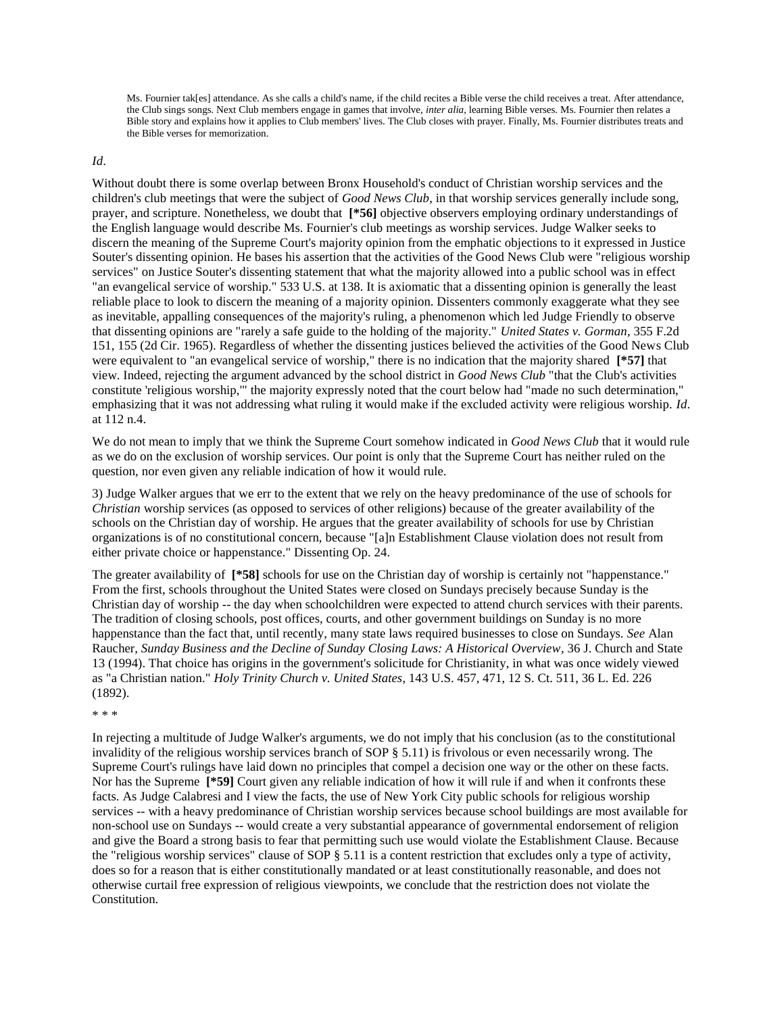Ms. Fournier tak[es] attendance. As she calls a child's name, if the child recites a Bible verse the child receives a treat. After attendance, the Club sings songs. Next Club members engage in games that involve, *inter alia*, learning Bible verses. Ms. Fournier then relates a Bible story and explains how it applies to Club members' lives. The Club closes with prayer. Finally, Ms. Fournier distributes treats and the Bible verses for memorization.

#### *Id*.

Without doubt there is some overlap between Bronx Household's conduct of Christian worship services and the children's club meetings that were the subject of *Good News Club*, in that worship services generally include song, prayer, and scripture. Nonetheless, we doubt that **[\*56]** objective observers employing ordinary understandings of the English language would describe Ms. Fournier's club meetings as worship services. Judge Walker seeks to discern the meaning of the Supreme Court's majority opinion from the emphatic objections to it expressed in Justice Souter's dissenting opinion. He bases his assertion that the activities of the Good News Club were "religious worship services" on Justice Souter's dissenting statement that what the majority allowed into a public school was in effect "an evangelical service of worship." 533 U.S. at 138. It is axiomatic that a dissenting opinion is generally the least reliable place to look to discern the meaning of a majority opinion. Dissenters commonly exaggerate what they see as inevitable, appalling consequences of the majority's ruling, a phenomenon which led Judge Friendly to observe that dissenting opinions are "rarely a safe guide to the holding of the majority." *United States v. Gorman*, 355 F.2d 151, 155 (2d Cir. 1965). Regardless of whether the dissenting justices believed the activities of the Good News Club were equivalent to "an evangelical service of worship," there is no indication that the majority shared **[\*57]** that view. Indeed, rejecting the argument advanced by the school district in *Good News Club* "that the Club's activities constitute 'religious worship,'" the majority expressly noted that the court below had "made no such determination," emphasizing that it was not addressing what ruling it would make if the excluded activity were religious worship. *Id*. at 112 n.4.

We do not mean to imply that we think the Supreme Court somehow indicated in *Good News Club* that it would rule as we do on the exclusion of worship services. Our point is only that the Supreme Court has neither ruled on the question, nor even given any reliable indication of how it would rule.

3) Judge Walker argues that we err to the extent that we rely on the heavy predominance of the use of schools for *Christian* worship services (as opposed to services of other religions) because of the greater availability of the schools on the Christian day of worship. He argues that the greater availability of schools for use by Christian organizations is of no constitutional concern, because "[a]n Establishment Clause violation does not result from either private choice or happenstance." Dissenting Op. 24.

The greater availability of **[\*58]** schools for use on the Christian day of worship is certainly not "happenstance." From the first, schools throughout the United States were closed on Sundays precisely because Sunday is the Christian day of worship -- the day when schoolchildren were expected to attend church services with their parents. The tradition of closing schools, post offices, courts, and other government buildings on Sunday is no more happenstance than the fact that, until recently, many state laws required businesses to close on Sundays. *See* Alan Raucher, *Sunday Business and the Decline of Sunday Closing Laws: A Historical Overview*, 36 J. Church and State 13 (1994). That choice has origins in the government's solicitude for Christianity, in what was once widely viewed as "a Christian nation." *Holy Trinity Church v. United States*, 143 U.S. 457, 471, 12 S. Ct. 511, 36 L. Ed. 226 (1892).

\* \* \*

In rejecting a multitude of Judge Walker's arguments, we do not imply that his conclusion (as to the constitutional invalidity of the religious worship services branch of SOP § 5.11) is frivolous or even necessarily wrong. The Supreme Court's rulings have laid down no principles that compel a decision one way or the other on these facts. Nor has the Supreme [\*59] Court given any reliable indication of how it will rule if and when it confronts these facts. As Judge Calabresi and I view the facts, the use of New York City public schools for religious worship services -- with a heavy predominance of Christian worship services because school buildings are most available for non-school use on Sundays -- would create a very substantial appearance of governmental endorsement of religion and give the Board a strong basis to fear that permitting such use would violate the Establishment Clause. Because the "religious worship services" clause of SOP § 5.11 is a content restriction that excludes only a type of activity, does so for a reason that is either constitutionally mandated or at least constitutionally reasonable, and does not otherwise curtail free expression of religious viewpoints, we conclude that the restriction does not violate the Constitution.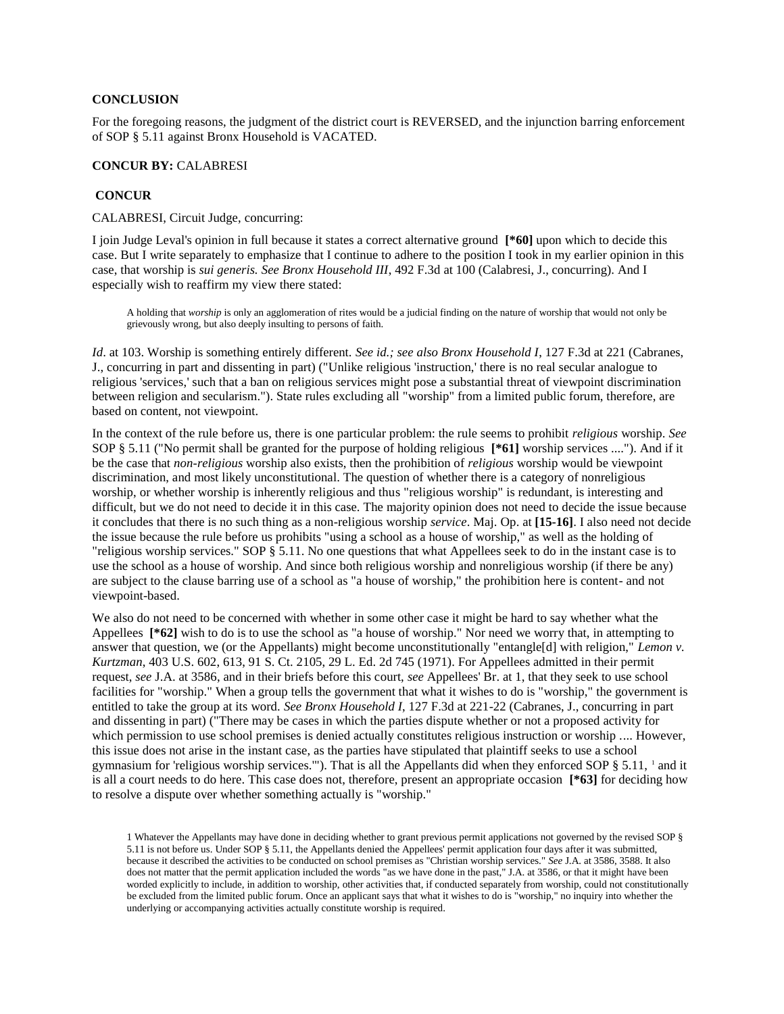## **CONCLUSION**

For the foregoing reasons, the judgment of the district court is REVERSED, and the injunction barring enforcement of SOP § 5.11 against Bronx Household is VACATED.

### **CONCUR BY:** CALABRESI

### **CONCUR**

CALABRESI, Circuit Judge, concurring:

I join Judge Leval's opinion in full because it states a correct alternative ground **[\*60]** upon which to decide this case. But I write separately to emphasize that I continue to adhere to the position I took in my earlier opinion in this case, that worship is *sui generis. See Bronx Household III*, 492 F.3d at 100 (Calabresi, J., concurring). And I especially wish to reaffirm my view there stated:

A holding that *worship* is only an agglomeration of rites would be a judicial finding on the nature of worship that would not only be grievously wrong, but also deeply insulting to persons of faith.

*Id*. at 103. Worship is something entirely different. *See id.; see also Bronx Household I*, 127 F.3d at 221 (Cabranes, J., concurring in part and dissenting in part) ("Unlike religious 'instruction,' there is no real secular analogue to religious 'services,' such that a ban on religious services might pose a substantial threat of viewpoint discrimination between religion and secularism."). State rules excluding all "worship" from a limited public forum, therefore, are based on content, not viewpoint.

In the context of the rule before us, there is one particular problem: the rule seems to prohibit *religious* worship. *See* SOP § 5.11 ("No permit shall be granted for the purpose of holding religious **[\*61]** worship services ...."). And if it be the case that *non-religious* worship also exists, then the prohibition of *religious* worship would be viewpoint discrimination, and most likely unconstitutional. The question of whether there is a category of nonreligious worship, or whether worship is inherently religious and thus "religious worship" is redundant, is interesting and difficult, but we do not need to decide it in this case. The majority opinion does not need to decide the issue because it concludes that there is no such thing as a non-religious worship *service*. Maj. Op. at **[15-16]**. I also need not decide the issue because the rule before us prohibits "using a school as a house of worship," as well as the holding of "religious worship services." SOP § 5.11. No one questions that what Appellees seek to do in the instant case is to use the school as a house of worship. And since both religious worship and nonreligious worship (if there be any) are subject to the clause barring use of a school as "a house of worship," the prohibition here is content- and not viewpoint-based.

We also do not need to be concerned with whether in some other case it might be hard to say whether what the Appellees **[\*62]** wish to do is to use the school as "a house of worship." Nor need we worry that, in attempting to answer that question, we (or the Appellants) might become unconstitutionally "entangle[d] with religion," *Lemon v. Kurtzman*, 403 U.S. 602, 613, 91 S. Ct. 2105, 29 L. Ed. 2d 745 (1971). For Appellees admitted in their permit request, *see* J.A. at 3586, and in their briefs before this court, *see* Appellees' Br. at 1, that they seek to use school facilities for "worship." When a group tells the government that what it wishes to do is "worship," the government is entitled to take the group at its word. *See Bronx Household I*, 127 F.3d at 221-22 (Cabranes, J., concurring in part and dissenting in part) ("There may be cases in which the parties dispute whether or not a proposed activity for which permission to use school premises is denied actually constitutes religious instruction or worship .... However, this issue does not arise in the instant case, as the parties have stipulated that plaintiff seeks to use a school gymnasium for 'religious worship services.'"). That is all the Appellants did when they enforced SOP  $\S 5.11$ ,  $\overline{1}$  and it is all a court needs to do here. This case does not, therefore, present an appropriate occasion **[\*63]** for deciding how to resolve a dispute over whether something actually is "worship."

1 Whatever the Appellants may have done in deciding whether to grant previous permit applications not governed by the revised SOP § 5.11 is not before us. Under SOP § 5.11, the Appellants denied the Appellees' permit application four days after it was submitted, because it described the activities to be conducted on school premises as "Christian worship services." *See* J.A. at 3586, 3588. It also does not matter that the permit application included the words "as we have done in the past," J.A. at 3586, or that it might have been worded explicitly to include, in addition to worship, other activities that, if conducted separately from worship, could not constitutionally be excluded from the limited public forum. Once an applicant says that what it wishes to do is "worship," no inquiry into whether the underlying or accompanying activities actually constitute worship is required.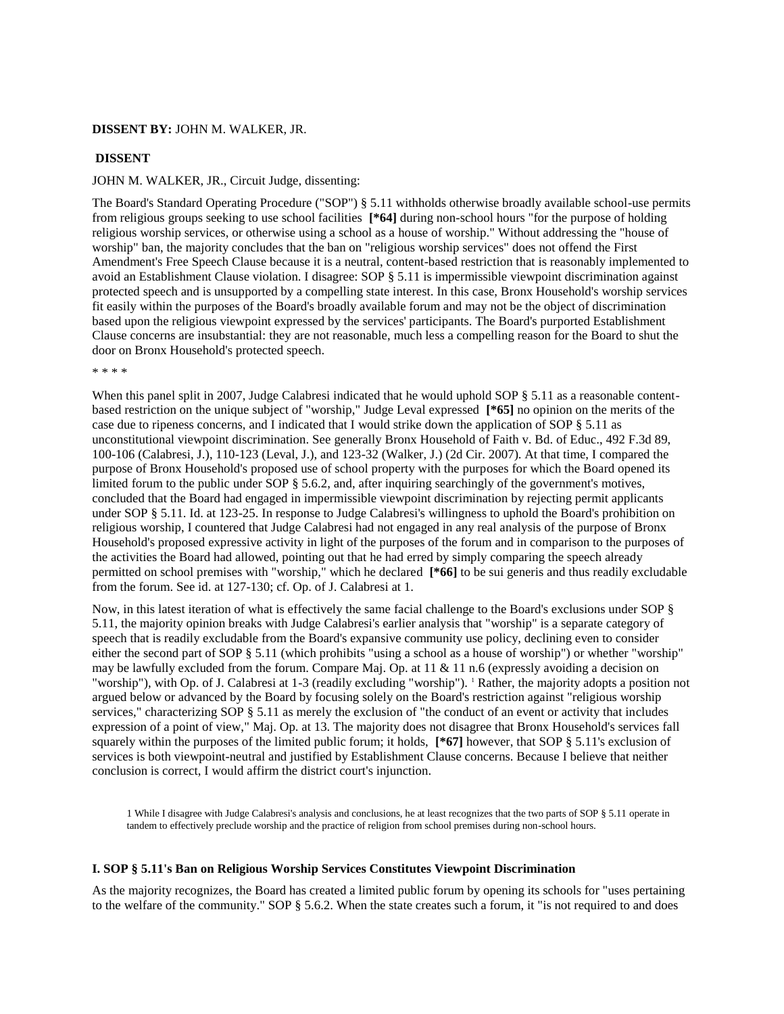#### **DISSENT BY:** JOHN M. WALKER, JR.

### **DISSENT**

#### JOHN M. WALKER, JR., Circuit Judge, dissenting:

The Board's Standard Operating Procedure ("SOP") § 5.11 withholds otherwise broadly available school-use permits from religious groups seeking to use school facilities **[\*64]** during non-school hours "for the purpose of holding religious worship services, or otherwise using a school as a house of worship." Without addressing the "house of worship" ban, the majority concludes that the ban on "religious worship services" does not offend the First Amendment's Free Speech Clause because it is a neutral, content-based restriction that is reasonably implemented to avoid an Establishment Clause violation. I disagree: SOP § 5.11 is impermissible viewpoint discrimination against protected speech and is unsupported by a compelling state interest. In this case, Bronx Household's worship services fit easily within the purposes of the Board's broadly available forum and may not be the object of discrimination based upon the religious viewpoint expressed by the services' participants. The Board's purported Establishment Clause concerns are insubstantial: they are not reasonable, much less a compelling reason for the Board to shut the door on Bronx Household's protected speech.

\* \* \* \*

When this panel split in 2007, Judge Calabresi indicated that he would uphold SOP § 5.11 as a reasonable contentbased restriction on the unique subject of "worship," Judge Leval expressed **[\*65]** no opinion on the merits of the case due to ripeness concerns, and I indicated that I would strike down the application of SOP § 5.11 as unconstitutional viewpoint discrimination. See generally Bronx Household of Faith v. Bd. of Educ., 492 F.3d 89, 100-106 (Calabresi, J.), 110-123 (Leval, J.), and 123-32 (Walker, J.) (2d Cir. 2007). At that time, I compared the purpose of Bronx Household's proposed use of school property with the purposes for which the Board opened its limited forum to the public under SOP § 5.6.2, and, after inquiring searchingly of the government's motives, concluded that the Board had engaged in impermissible viewpoint discrimination by rejecting permit applicants under SOP § 5.11. Id. at 123-25. In response to Judge Calabresi's willingness to uphold the Board's prohibition on religious worship, I countered that Judge Calabresi had not engaged in any real analysis of the purpose of Bronx Household's proposed expressive activity in light of the purposes of the forum and in comparison to the purposes of the activities the Board had allowed, pointing out that he had erred by simply comparing the speech already permitted on school premises with "worship," which he declared **[\*66]** to be sui generis and thus readily excludable from the forum. See id. at 127-130; cf. Op. of J. Calabresi at 1.

Now, in this latest iteration of what is effectively the same facial challenge to the Board's exclusions under SOP § 5.11, the majority opinion breaks with Judge Calabresi's earlier analysis that "worship" is a separate category of speech that is readily excludable from the Board's expansive community use policy, declining even to consider either the second part of SOP § 5.11 (which prohibits "using a school as a house of worship") or whether "worship" may be lawfully excluded from the forum. Compare Maj. Op. at  $11 \& 11 \text{ n.6}$  (expressly avoiding a decision on "worship"), with Op. of J. Calabresi at 1-3 (readily excluding "worship"). <sup>1</sup> Rather, the majority adopts a position not argued below or advanced by the Board by focusing solely on the Board's restriction against "religious worship services," characterizing SOP § 5.11 as merely the exclusion of "the conduct of an event or activity that includes expression of a point of view," Maj. Op. at 13. The majority does not disagree that Bronx Household's services fall squarely within the purposes of the limited public forum; it holds, **[\*67]** however, that SOP § 5.11's exclusion of services is both viewpoint-neutral and justified by Establishment Clause concerns. Because I believe that neither conclusion is correct, I would affirm the district court's injunction.

1 While I disagree with Judge Calabresi's analysis and conclusions, he at least recognizes that the two parts of SOP § 5.11 operate in tandem to effectively preclude worship and the practice of religion from school premises during non-school hours.

#### **I. SOP § 5.11's Ban on Religious Worship Services Constitutes Viewpoint Discrimination**

As the majority recognizes, the Board has created a limited public forum by opening its schools for "uses pertaining to the welfare of the community." SOP § 5.6.2. When the state creates such a forum, it "is not required to and does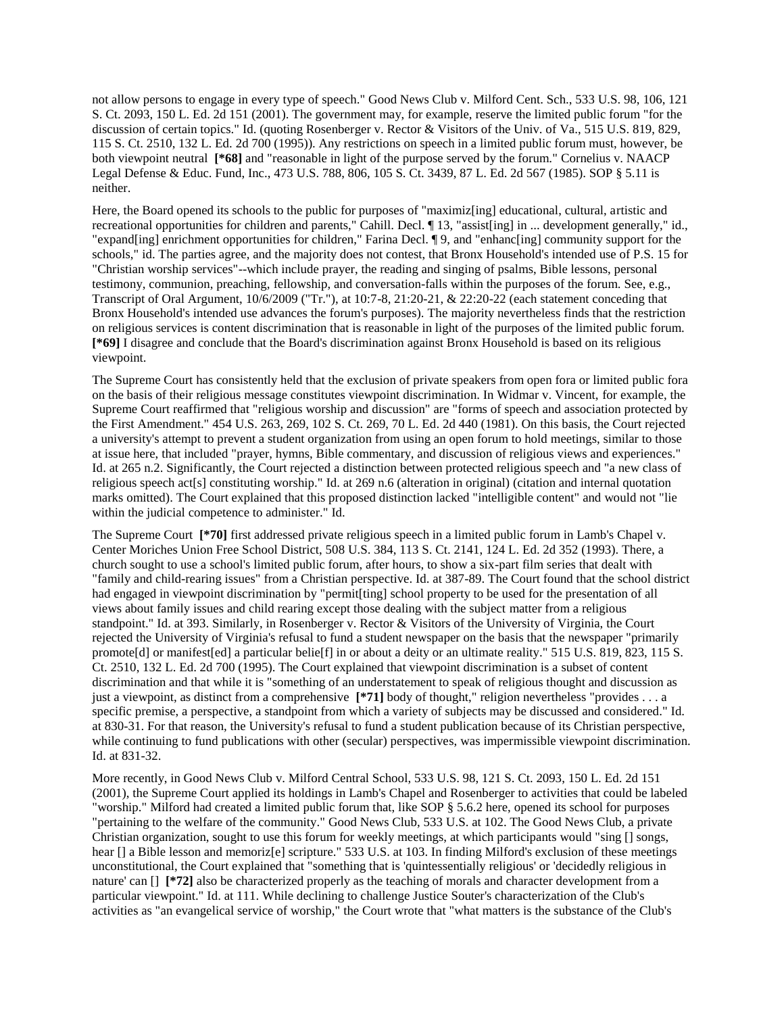not allow persons to engage in every type of speech." Good News Club v. Milford Cent. Sch., 533 U.S. 98, 106, 121 S. Ct. 2093, 150 L. Ed. 2d 151 (2001). The government may, for example, reserve the limited public forum "for the discussion of certain topics." Id. (quoting Rosenberger v. Rector & Visitors of the Univ. of Va., 515 U.S. 819, 829, 115 S. Ct. 2510, 132 L. Ed. 2d 700 (1995)). Any restrictions on speech in a limited public forum must, however, be both viewpoint neutral **[\*68]** and "reasonable in light of the purpose served by the forum." Cornelius v. NAACP Legal Defense & Educ. Fund, Inc., 473 U.S. 788, 806, 105 S. Ct. 3439, 87 L. Ed. 2d 567 (1985). SOP § 5.11 is neither.

Here, the Board opened its schools to the public for purposes of "maximiz[ing] educational, cultural, artistic and recreational opportunities for children and parents," Cahill. Decl. ¶ 13, "assist[ing] in ... development generally," id., "expand[ing] enrichment opportunities for children," Farina Decl. ¶ 9, and "enhanc[ing] community support for the schools," id. The parties agree, and the majority does not contest, that Bronx Household's intended use of P.S. 15 for "Christian worship services"--which include prayer, the reading and singing of psalms, Bible lessons, personal testimony, communion, preaching, fellowship, and conversation-falls within the purposes of the forum. See, e.g., Transcript of Oral Argument, 10/6/2009 ("Tr."), at 10:7-8, 21:20-21, & 22:20-22 (each statement conceding that Bronx Household's intended use advances the forum's purposes). The majority nevertheless finds that the restriction on religious services is content discrimination that is reasonable in light of the purposes of the limited public forum. **[\*69]** I disagree and conclude that the Board's discrimination against Bronx Household is based on its religious viewpoint.

The Supreme Court has consistently held that the exclusion of private speakers from open fora or limited public fora on the basis of their religious message constitutes viewpoint discrimination. In Widmar v. Vincent, for example, the Supreme Court reaffirmed that "religious worship and discussion" are "forms of speech and association protected by the First Amendment." 454 U.S. 263, 269, 102 S. Ct. 269, 70 L. Ed. 2d 440 (1981). On this basis, the Court rejected a university's attempt to prevent a student organization from using an open forum to hold meetings, similar to those at issue here, that included "prayer, hymns, Bible commentary, and discussion of religious views and experiences." Id. at 265 n.2. Significantly, the Court rejected a distinction between protected religious speech and "a new class of religious speech act[s] constituting worship." Id. at 269 n.6 (alteration in original) (citation and internal quotation marks omitted). The Court explained that this proposed distinction lacked "intelligible content" and would not "lie within the judicial competence to administer." Id.

The Supreme Court **[\*70]** first addressed private religious speech in a limited public forum in Lamb's Chapel v. Center Moriches Union Free School District, 508 U.S. 384, 113 S. Ct. 2141, 124 L. Ed. 2d 352 (1993). There, a church sought to use a school's limited public forum, after hours, to show a six-part film series that dealt with "family and child-rearing issues" from a Christian perspective. Id. at 387-89. The Court found that the school district had engaged in viewpoint discrimination by "permit[ting] school property to be used for the presentation of all views about family issues and child rearing except those dealing with the subject matter from a religious standpoint." Id. at 393. Similarly, in Rosenberger v. Rector & Visitors of the University of Virginia, the Court rejected the University of Virginia's refusal to fund a student newspaper on the basis that the newspaper "primarily promote[d] or manifest[ed] a particular belie[f] in or about a deity or an ultimate reality." 515 U.S. 819, 823, 115 S. Ct. 2510, 132 L. Ed. 2d 700 (1995). The Court explained that viewpoint discrimination is a subset of content discrimination and that while it is "something of an understatement to speak of religious thought and discussion as just a viewpoint, as distinct from a comprehensive **[\*71]** body of thought," religion nevertheless "provides . . . a specific premise, a perspective, a standpoint from which a variety of subjects may be discussed and considered." Id. at 830-31. For that reason, the University's refusal to fund a student publication because of its Christian perspective, while continuing to fund publications with other (secular) perspectives, was impermissible viewpoint discrimination. Id. at 831-32.

More recently, in Good News Club v. Milford Central School, 533 U.S. 98, 121 S. Ct. 2093, 150 L. Ed. 2d 151 (2001), the Supreme Court applied its holdings in Lamb's Chapel and Rosenberger to activities that could be labeled "worship." Milford had created a limited public forum that, like SOP § 5.6.2 here, opened its school for purposes "pertaining to the welfare of the community." Good News Club, 533 U.S. at 102. The Good News Club, a private Christian organization, sought to use this forum for weekly meetings, at which participants would "sing [] songs, hear [] a Bible lesson and memoriz[e] scripture." 533 U.S. at 103. In finding Milford's exclusion of these meetings unconstitutional, the Court explained that "something that is 'quintessentially religious' or 'decidedly religious in nature' can [] **[\*72]** also be characterized properly as the teaching of morals and character development from a particular viewpoint." Id. at 111. While declining to challenge Justice Souter's characterization of the Club's activities as "an evangelical service of worship," the Court wrote that "what matters is the substance of the Club's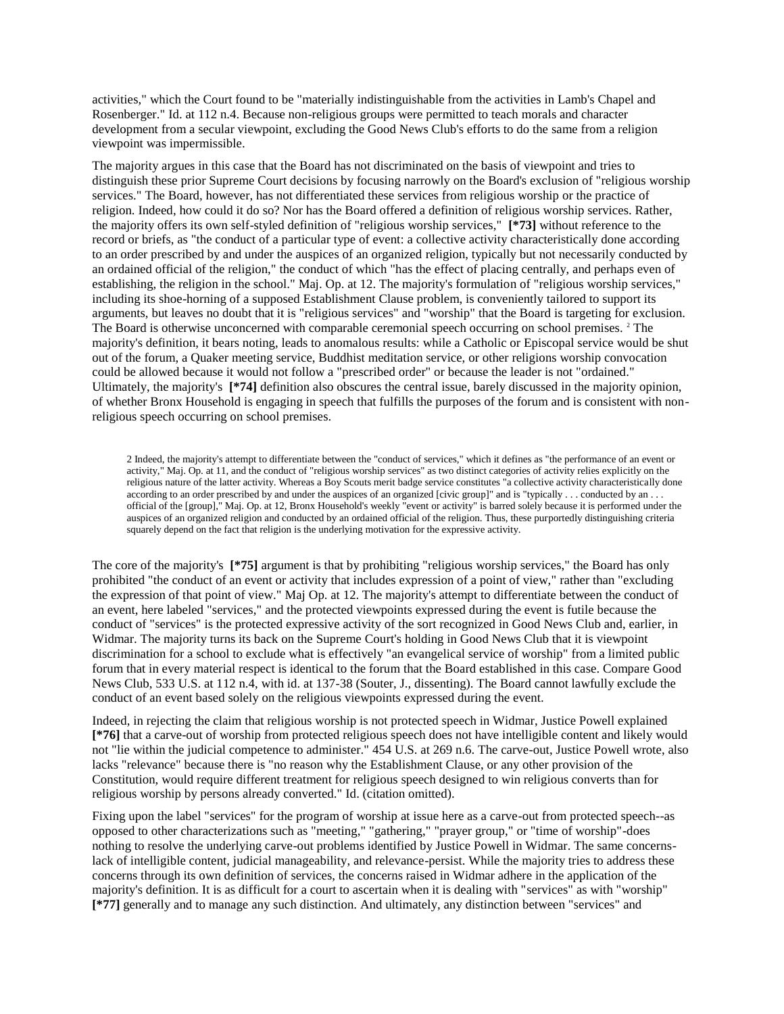activities," which the Court found to be "materially indistinguishable from the activities in Lamb's Chapel and Rosenberger." Id. at 112 n.4. Because non-religious groups were permitted to teach morals and character development from a secular viewpoint, excluding the Good News Club's efforts to do the same from a religion viewpoint was impermissible.

The majority argues in this case that the Board has not discriminated on the basis of viewpoint and tries to distinguish these prior Supreme Court decisions by focusing narrowly on the Board's exclusion of "religious worship services." The Board, however, has not differentiated these services from religious worship or the practice of religion. Indeed, how could it do so? Nor has the Board offered a definition of religious worship services. Rather, the majority offers its own self-styled definition of "religious worship services," **[\*73]** without reference to the record or briefs, as "the conduct of a particular type of event: a collective activity characteristically done according to an order prescribed by and under the auspices of an organized religion, typically but not necessarily conducted by an ordained official of the religion," the conduct of which "has the effect of placing centrally, and perhaps even of establishing, the religion in the school." Maj. Op. at 12. The majority's formulation of "religious worship services," including its shoe-horning of a supposed Establishment Clause problem, is conveniently tailored to support its arguments, but leaves no doubt that it is "religious services" and "worship" that the Board is targeting for exclusion. The Board is otherwise unconcerned with comparable ceremonial speech occurring on school premises. <sup>2</sup> The majority's definition, it bears noting, leads to anomalous results: while a Catholic or Episcopal service would be shut out of the forum, a Quaker meeting service, Buddhist meditation service, or other religions worship convocation could be allowed because it would not follow a "prescribed order" or because the leader is not "ordained." Ultimately, the majority's **[\*74]** definition also obscures the central issue, barely discussed in the majority opinion, of whether Bronx Household is engaging in speech that fulfills the purposes of the forum and is consistent with nonreligious speech occurring on school premises.

2 Indeed, the majority's attempt to differentiate between the "conduct of services," which it defines as "the performance of an event or activity," Maj. Op. at 11, and the conduct of "religious worship services" as two distinct categories of activity relies explicitly on the religious nature of the latter activity. Whereas a Boy Scouts merit badge service constitutes "a collective activity characteristically done according to an order prescribed by and under the auspices of an organized [civic group]" and is "typically . . . conducted by an . . . official of the [group]," Maj. Op. at 12, Bronx Household's weekly "event or activity" is barred solely because it is performed under the auspices of an organized religion and conducted by an ordained official of the religion. Thus, these purportedly distinguishing criteria squarely depend on the fact that religion is the underlying motivation for the expressive activity.

The core of the majority's **[\*75]** argument is that by prohibiting "religious worship services," the Board has only prohibited "the conduct of an event or activity that includes expression of a point of view," rather than "excluding the expression of that point of view." Maj Op. at 12. The majority's attempt to differentiate between the conduct of an event, here labeled "services," and the protected viewpoints expressed during the event is futile because the conduct of "services" is the protected expressive activity of the sort recognized in Good News Club and, earlier, in Widmar. The majority turns its back on the Supreme Court's holding in Good News Club that it is viewpoint discrimination for a school to exclude what is effectively "an evangelical service of worship" from a limited public forum that in every material respect is identical to the forum that the Board established in this case. Compare Good News Club, 533 U.S. at 112 n.4, with id. at 137-38 (Souter, J., dissenting). The Board cannot lawfully exclude the conduct of an event based solely on the religious viewpoints expressed during the event.

Indeed, in rejecting the claim that religious worship is not protected speech in Widmar, Justice Powell explained **[\*76]** that a carve-out of worship from protected religious speech does not have intelligible content and likely would not "lie within the judicial competence to administer." 454 U.S. at 269 n.6. The carve-out, Justice Powell wrote, also lacks "relevance" because there is "no reason why the Establishment Clause, or any other provision of the Constitution, would require different treatment for religious speech designed to win religious converts than for religious worship by persons already converted." Id. (citation omitted).

Fixing upon the label "services" for the program of worship at issue here as a carve-out from protected speech--as opposed to other characterizations such as "meeting," "gathering," "prayer group," or "time of worship"-does nothing to resolve the underlying carve-out problems identified by Justice Powell in Widmar. The same concernslack of intelligible content, judicial manageability, and relevance-persist. While the majority tries to address these concerns through its own definition of services, the concerns raised in Widmar adhere in the application of the majority's definition. It is as difficult for a court to ascertain when it is dealing with "services" as with "worship" **[\*77]** generally and to manage any such distinction. And ultimately, any distinction between "services" and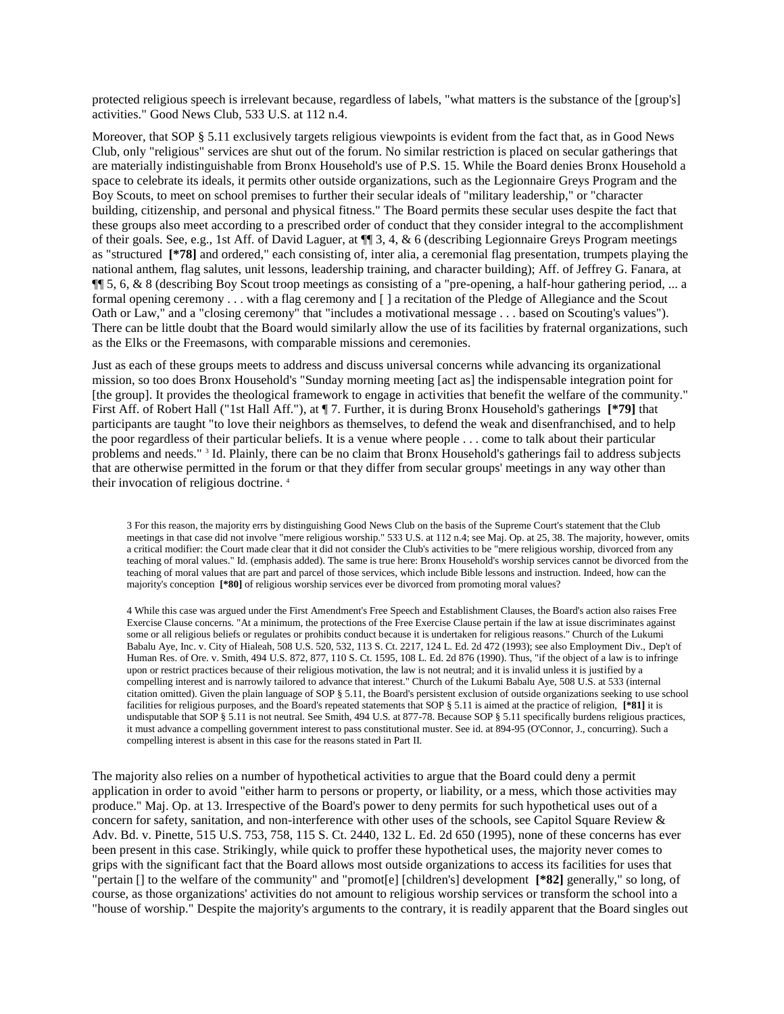protected religious speech is irrelevant because, regardless of labels, "what matters is the substance of the [group's] activities." Good News Club, 533 U.S. at 112 n.4.

Moreover, that SOP § 5.11 exclusively targets religious viewpoints is evident from the fact that, as in Good News Club, only "religious" services are shut out of the forum. No similar restriction is placed on secular gatherings that are materially indistinguishable from Bronx Household's use of P.S. 15. While the Board denies Bronx Household a space to celebrate its ideals, it permits other outside organizations, such as the Legionnaire Greys Program and the Boy Scouts, to meet on school premises to further their secular ideals of "military leadership," or "character building, citizenship, and personal and physical fitness." The Board permits these secular uses despite the fact that these groups also meet according to a prescribed order of conduct that they consider integral to the accomplishment of their goals. See, e.g., 1st Aff. of David Laguer, at ¶¶ 3, 4, & 6 (describing Legionnaire Greys Program meetings as "structured **[\*78]** and ordered," each consisting of, inter alia, a ceremonial flag presentation, trumpets playing the national anthem, flag salutes, unit lessons, leadership training, and character building); Aff. of Jeffrey G. Fanara, at ¶¶ 5, 6, & 8 (describing Boy Scout troop meetings as consisting of a "pre-opening, a half-hour gathering period, ... a formal opening ceremony . . . with a flag ceremony and [ ] a recitation of the Pledge of Allegiance and the Scout Oath or Law," and a "closing ceremony" that "includes a motivational message . . . based on Scouting's values"). There can be little doubt that the Board would similarly allow the use of its facilities by fraternal organizations, such as the Elks or the Freemasons, with comparable missions and ceremonies.

Just as each of these groups meets to address and discuss universal concerns while advancing its organizational mission, so too does Bronx Household's "Sunday morning meeting [act as] the indispensable integration point for [the group]. It provides the theological framework to engage in activities that benefit the welfare of the community." First Aff. of Robert Hall ("1st Hall Aff."), at ¶ 7. Further, it is during Bronx Household's gatherings **[\*79]** that participants are taught "to love their neighbors as themselves, to defend the weak and disenfranchised, and to help the poor regardless of their particular beliefs. It is a venue where people . . . come to talk about their particular problems and needs." <sup>3</sup> Id. Plainly, there can be no claim that Bronx Household's gatherings fail to address subjects that are otherwise permitted in the forum or that they differ from secular groups' meetings in any way other than their invocation of religious doctrine. <sup>4</sup>

3 For this reason, the majority errs by distinguishing Good News Club on the basis of the Supreme Court's statement that the Club meetings in that case did not involve "mere religious worship." 533 U.S. at 112 n.4; see Maj. Op. at 25, 38. The majority, however, omits a critical modifier: the Court made clear that it did not consider the Club's activities to be "mere religious worship, divorced from any teaching of moral values." Id. (emphasis added). The same is true here: Bronx Household's worship services cannot be divorced from the teaching of moral values that are part and parcel of those services, which include Bible lessons and instruction. Indeed, how can the majority's conception **[\*80]** of religious worship services ever be divorced from promoting moral values?

4 While this case was argued under the First Amendment's Free Speech and Establishment Clauses, the Board's action also raises Free Exercise Clause concerns. "At a minimum, the protections of the Free Exercise Clause pertain if the law at issue discriminates against some or all religious beliefs or regulates or prohibits conduct because it is undertaken for religious reasons." Church of the Lukumi Babalu Aye, Inc. v. City of Hialeah, 508 U.S. 520, 532, 113 S. Ct. 2217, 124 L. Ed. 2d 472 (1993); see also Employment Div., Dep't of Human Res. of Ore. v. Smith, 494 U.S. 872, 877, 110 S. Ct. 1595, 108 L. Ed. 2d 876 (1990). Thus, "if the object of a law is to infringe upon or restrict practices because of their religious motivation, the law is not neutral; and it is invalid unless it is justified by a compelling interest and is narrowly tailored to advance that interest." Church of the Lukumi Babalu Aye, 508 U.S. at 533 (internal citation omitted). Given the plain language of SOP § 5.11, the Board's persistent exclusion of outside organizations seeking to use school facilities for religious purposes, and the Board's repeated statements that SOP § 5.11 is aimed at the practice of religion, **[\*81]** it is undisputable that SOP § 5.11 is not neutral. See Smith, 494 U.S. at 877-78. Because SOP § 5.11 specifically burdens religious practices, it must advance a compelling government interest to pass constitutional muster. See id. at 894-95 (O'Connor, J., concurring). Such a compelling interest is absent in this case for the reasons stated in Part II.

The majority also relies on a number of hypothetical activities to argue that the Board could deny a permit application in order to avoid "either harm to persons or property, or liability, or a mess, which those activities may produce." Maj. Op. at 13. Irrespective of the Board's power to deny permits for such hypothetical uses out of a concern for safety, sanitation, and non-interference with other uses of the schools, see Capitol Square Review & Adv. Bd. v. Pinette, 515 U.S. 753, 758, 115 S. Ct. 2440, 132 L. Ed. 2d 650 (1995), none of these concerns has ever been present in this case. Strikingly, while quick to proffer these hypothetical uses, the majority never comes to grips with the significant fact that the Board allows most outside organizations to access its facilities for uses that "pertain [] to the welfare of the community" and "promot[e] [children's] development **[\*82]** generally," so long, of course, as those organizations' activities do not amount to religious worship services or transform the school into a "house of worship." Despite the majority's arguments to the contrary, it is readily apparent that the Board singles out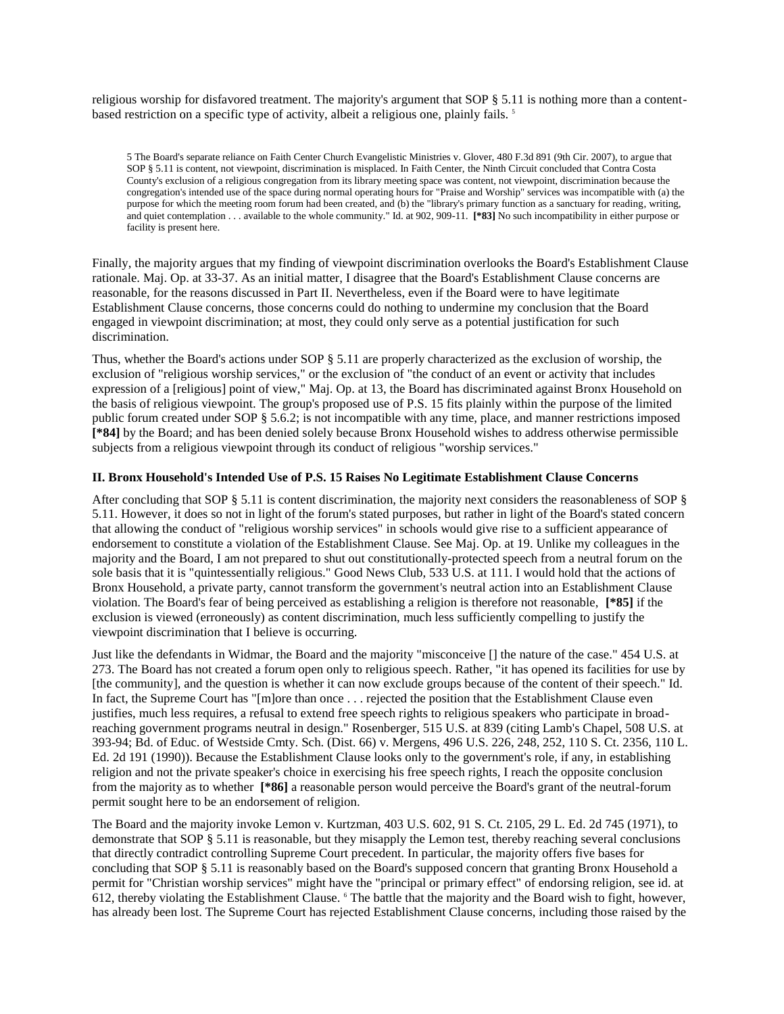religious worship for disfavored treatment. The majority's argument that SOP § 5.11 is nothing more than a contentbased restriction on a specific type of activity, albeit a religious one, plainly fails.<sup>5</sup>

5 The Board's separate reliance on Faith Center Church Evangelistic Ministries v. Glover, 480 F.3d 891 (9th Cir. 2007), to argue that SOP § 5.11 is content, not viewpoint, discrimination is misplaced. In Faith Center, the Ninth Circuit concluded that Contra Costa County's exclusion of a religious congregation from its library meeting space was content, not viewpoint, discrimination because the congregation's intended use of the space during normal operating hours for "Praise and Worship" services was incompatible with (a) the purpose for which the meeting room forum had been created, and (b) the "library's primary function as a sanctuary for reading, writing, and quiet contemplation . . . available to the whole community." Id. at 902, 909-11. **[\*83]** No such incompatibility in either purpose or facility is present here.

Finally, the majority argues that my finding of viewpoint discrimination overlooks the Board's Establishment Clause rationale. Maj. Op. at 33-37. As an initial matter, I disagree that the Board's Establishment Clause concerns are reasonable, for the reasons discussed in Part II. Nevertheless, even if the Board were to have legitimate Establishment Clause concerns, those concerns could do nothing to undermine my conclusion that the Board engaged in viewpoint discrimination; at most, they could only serve as a potential justification for such discrimination.

Thus, whether the Board's actions under SOP § 5.11 are properly characterized as the exclusion of worship, the exclusion of "religious worship services," or the exclusion of "the conduct of an event or activity that includes expression of a [religious] point of view," Maj. Op. at 13, the Board has discriminated against Bronx Household on the basis of religious viewpoint. The group's proposed use of P.S. 15 fits plainly within the purpose of the limited public forum created under SOP § 5.6.2; is not incompatible with any time, place, and manner restrictions imposed **[\*84]** by the Board; and has been denied solely because Bronx Household wishes to address otherwise permissible subjects from a religious viewpoint through its conduct of religious "worship services."

### **II. Bronx Household's Intended Use of P.S. 15 Raises No Legitimate Establishment Clause Concerns**

After concluding that SOP § 5.11 is content discrimination, the majority next considers the reasonableness of SOP § 5.11. However, it does so not in light of the forum's stated purposes, but rather in light of the Board's stated concern that allowing the conduct of "religious worship services" in schools would give rise to a sufficient appearance of endorsement to constitute a violation of the Establishment Clause. See Maj. Op. at 19. Unlike my colleagues in the majority and the Board, I am not prepared to shut out constitutionally-protected speech from a neutral forum on the sole basis that it is "quintessentially religious." Good News Club, 533 U.S. at 111. I would hold that the actions of Bronx Household, a private party, cannot transform the government's neutral action into an Establishment Clause violation. The Board's fear of being perceived as establishing a religion is therefore not reasonable, **[\*85]** if the exclusion is viewed (erroneously) as content discrimination, much less sufficiently compelling to justify the viewpoint discrimination that I believe is occurring.

Just like the defendants in Widmar, the Board and the majority "misconceive [] the nature of the case." 454 U.S. at 273. The Board has not created a forum open only to religious speech. Rather, "it has opened its facilities for use by [the community], and the question is whether it can now exclude groups because of the content of their speech." Id. In fact, the Supreme Court has "[m]ore than once . . . rejected the position that the Establishment Clause even justifies, much less requires, a refusal to extend free speech rights to religious speakers who participate in broadreaching government programs neutral in design." Rosenberger, 515 U.S. at 839 (citing Lamb's Chapel, 508 U.S. at 393-94; Bd. of Educ. of Westside Cmty. Sch. (Dist. 66) v. Mergens, 496 U.S. 226, 248, 252, 110 S. Ct. 2356, 110 L. Ed. 2d 191 (1990)). Because the Establishment Clause looks only to the government's role, if any, in establishing religion and not the private speaker's choice in exercising his free speech rights, I reach the opposite conclusion from the majority as to whether **[\*86]** a reasonable person would perceive the Board's grant of the neutral-forum permit sought here to be an endorsement of religion.

The Board and the majority invoke Lemon v. Kurtzman, 403 U.S. 602, 91 S. Ct. 2105, 29 L. Ed. 2d 745 (1971), to demonstrate that SOP § 5.11 is reasonable, but they misapply the Lemon test, thereby reaching several conclusions that directly contradict controlling Supreme Court precedent. In particular, the majority offers five bases for concluding that SOP § 5.11 is reasonably based on the Board's supposed concern that granting Bronx Household a permit for "Christian worship services" might have the "principal or primary effect" of endorsing religion, see id. at 612, thereby violating the Establishment Clause. <sup>6</sup> The battle that the majority and the Board wish to fight, however, has already been lost. The Supreme Court has rejected Establishment Clause concerns, including those raised by the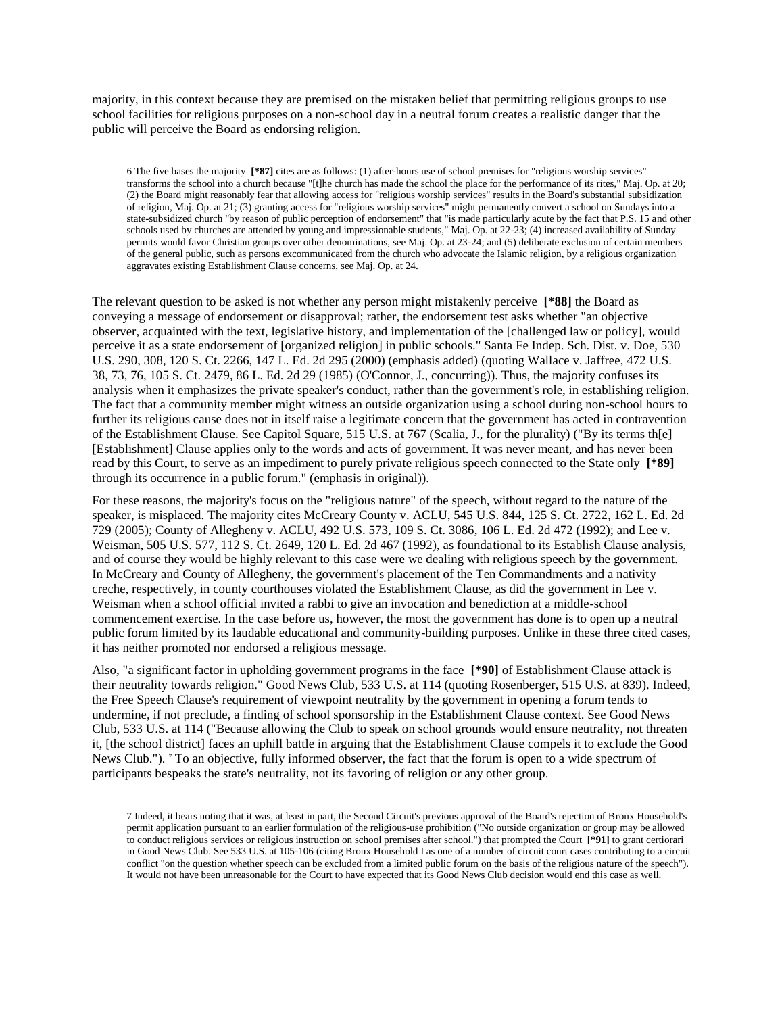majority, in this context because they are premised on the mistaken belief that permitting religious groups to use school facilities for religious purposes on a non-school day in a neutral forum creates a realistic danger that the public will perceive the Board as endorsing religion.

6 The five bases the majority **[\*87]** cites are as follows: (1) after-hours use of school premises for "religious worship services" transforms the school into a church because "[t]he church has made the school the place for the performance of its rites," Maj. Op. at 20; (2) the Board might reasonably fear that allowing access for "religious worship services" results in the Board's substantial subsidization of religion, Maj. Op. at 21; (3) granting access for "religious worship services" might permanently convert a school on Sundays into a state-subsidized church "by reason of public perception of endorsement" that "is made particularly acute by the fact that P.S. 15 and other schools used by churches are attended by young and impressionable students," Maj. Op. at 22-23; (4) increased availability of Sunday permits would favor Christian groups over other denominations, see Maj. Op. at 23-24; and (5) deliberate exclusion of certain members of the general public, such as persons excommunicated from the church who advocate the Islamic religion, by a religious organization aggravates existing Establishment Clause concerns, see Maj. Op. at 24.

The relevant question to be asked is not whether any person might mistakenly perceive **[\*88]** the Board as conveying a message of endorsement or disapproval; rather, the endorsement test asks whether "an objective observer, acquainted with the text, legislative history, and implementation of the [challenged law or policy], would perceive it as a state endorsement of [organized religion] in public schools." Santa Fe Indep. Sch. Dist. v. Doe, 530 U.S. 290, 308, 120 S. Ct. 2266, 147 L. Ed. 2d 295 (2000) (emphasis added) (quoting Wallace v. Jaffree, 472 U.S. 38, 73, 76, 105 S. Ct. 2479, 86 L. Ed. 2d 29 (1985) (O'Connor, J., concurring)). Thus, the majority confuses its analysis when it emphasizes the private speaker's conduct, rather than the government's role, in establishing religion. The fact that a community member might witness an outside organization using a school during non-school hours to further its religious cause does not in itself raise a legitimate concern that the government has acted in contravention of the Establishment Clause. See Capitol Square, 515 U.S. at 767 (Scalia, J., for the plurality) ("By its terms th[e] [Establishment] Clause applies only to the words and acts of government. It was never meant, and has never been read by this Court, to serve as an impediment to purely private religious speech connected to the State only **[\*89]** through its occurrence in a public forum." (emphasis in original)).

For these reasons, the majority's focus on the "religious nature" of the speech, without regard to the nature of the speaker, is misplaced. The majority cites McCreary County v. ACLU, 545 U.S. 844, 125 S. Ct. 2722, 162 L. Ed. 2d 729 (2005); County of Allegheny v. ACLU, 492 U.S. 573, 109 S. Ct. 3086, 106 L. Ed. 2d 472 (1992); and Lee v. Weisman, 505 U.S. 577, 112 S. Ct. 2649, 120 L. Ed. 2d 467 (1992), as foundational to its Establish Clause analysis, and of course they would be highly relevant to this case were we dealing with religious speech by the government. In McCreary and County of Allegheny, the government's placement of the Ten Commandments and a nativity creche, respectively, in county courthouses violated the Establishment Clause, as did the government in Lee v. Weisman when a school official invited a rabbi to give an invocation and benediction at a middle-school commencement exercise. In the case before us, however, the most the government has done is to open up a neutral public forum limited by its laudable educational and community-building purposes. Unlike in these three cited cases, it has neither promoted nor endorsed a religious message.

Also, "a significant factor in upholding government programs in the face **[\*90]** of Establishment Clause attack is their neutrality towards religion." Good News Club, 533 U.S. at 114 (quoting Rosenberger, 515 U.S. at 839). Indeed, the Free Speech Clause's requirement of viewpoint neutrality by the government in opening a forum tends to undermine, if not preclude, a finding of school sponsorship in the Establishment Clause context. See Good News Club, 533 U.S. at 114 ("Because allowing the Club to speak on school grounds would ensure neutrality, not threaten it, [the school district] faces an uphill battle in arguing that the Establishment Clause compels it to exclude the Good News Club."). <sup>7</sup> To an objective, fully informed observer, the fact that the forum is open to a wide spectrum of participants bespeaks the state's neutrality, not its favoring of religion or any other group.

7 Indeed, it bears noting that it was, at least in part, the Second Circuit's previous approval of the Board's rejection of Bronx Household's permit application pursuant to an earlier formulation of the religious-use prohibition ("No outside organization or group may be allowed to conduct religious services or religious instruction on school premises after school.") that prompted the Court **[\*91]** to grant certiorari in Good News Club. See 533 U.S. at 105-106 (citing Bronx Household I as one of a number of circuit court cases contributing to a circuit conflict "on the question whether speech can be excluded from a limited public forum on the basis of the religious nature of the speech"). It would not have been unreasonable for the Court to have expected that its Good News Club decision would end this case as well.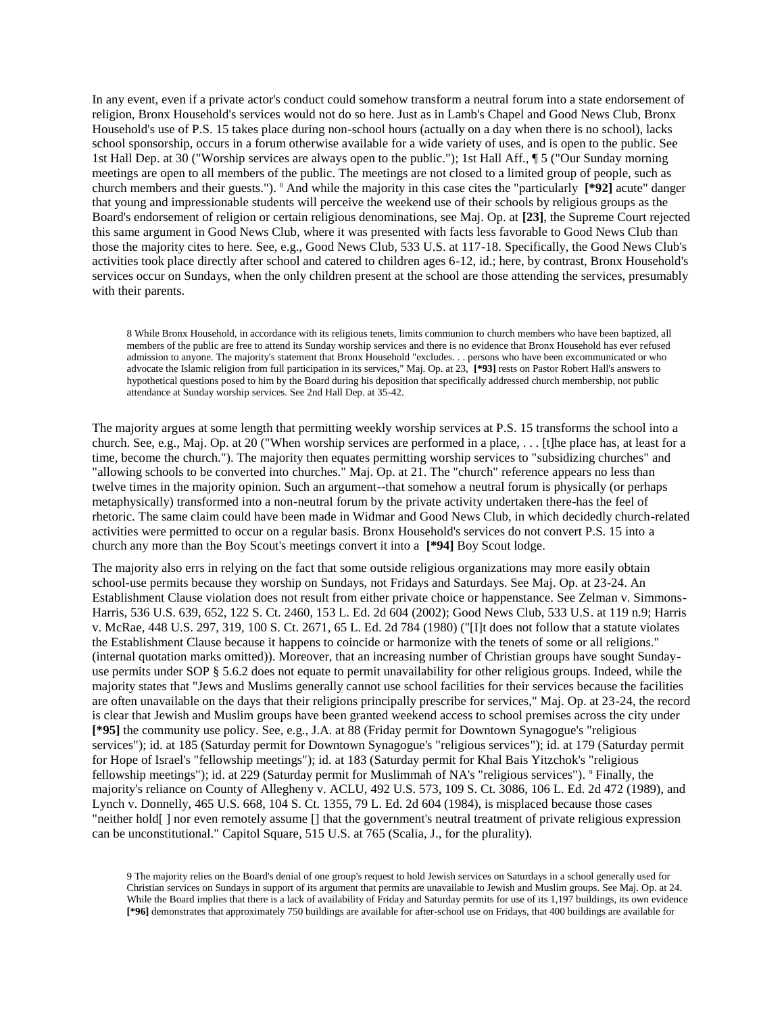In any event, even if a private actor's conduct could somehow transform a neutral forum into a state endorsement of religion, Bronx Household's services would not do so here. Just as in Lamb's Chapel and Good News Club, Bronx Household's use of P.S. 15 takes place during non-school hours (actually on a day when there is no school), lacks school sponsorship, occurs in a forum otherwise available for a wide variety of uses, and is open to the public. See 1st Hall Dep. at 30 ("Worship services are always open to the public."); 1st Hall Aff., ¶ 5 ("Our Sunday morning meetings are open to all members of the public. The meetings are not closed to a limited group of people, such as church members and their guests."). <sup>8</sup> And while the majority in this case cites the "particularly **[\*92]** acute" danger that young and impressionable students will perceive the weekend use of their schools by religious groups as the Board's endorsement of religion or certain religious denominations, see Maj. Op. at **[23]**, the Supreme Court rejected this same argument in Good News Club, where it was presented with facts less favorable to Good News Club than those the majority cites to here. See, e.g., Good News Club, 533 U.S. at 117-18. Specifically, the Good News Club's activities took place directly after school and catered to children ages 6-12, id.; here, by contrast, Bronx Household's services occur on Sundays, when the only children present at the school are those attending the services, presumably with their parents.

8 While Bronx Household, in accordance with its religious tenets, limits communion to church members who have been baptized, all members of the public are free to attend its Sunday worship services and there is no evidence that Bronx Household has ever refused admission to anyone. The majority's statement that Bronx Household "excludes. . . persons who have been excommunicated or who advocate the Islamic religion from full participation in its services," Maj. Op. at 23, **[\*93]** rests on Pastor Robert Hall's answers to hypothetical questions posed to him by the Board during his deposition that specifically addressed church membership, not public attendance at Sunday worship services. See 2nd Hall Dep. at 35-42.

The majority argues at some length that permitting weekly worship services at P.S. 15 transforms the school into a church. See, e.g., Maj. Op. at 20 ("When worship services are performed in a place, . . . [t]he place has, at least for a time, become the church."). The majority then equates permitting worship services to "subsidizing churches" and "allowing schools to be converted into churches." Maj. Op. at 21. The "church" reference appears no less than twelve times in the majority opinion. Such an argument--that somehow a neutral forum is physically (or perhaps metaphysically) transformed into a non-neutral forum by the private activity undertaken there-has the feel of rhetoric. The same claim could have been made in Widmar and Good News Club, in which decidedly church-related activities were permitted to occur on a regular basis. Bronx Household's services do not convert P.S. 15 into a church any more than the Boy Scout's meetings convert it into a **[\*94]** Boy Scout lodge.

The majority also errs in relying on the fact that some outside religious organizations may more easily obtain school-use permits because they worship on Sundays, not Fridays and Saturdays. See Maj. Op. at 23-24. An Establishment Clause violation does not result from either private choice or happenstance. See Zelman v. Simmons-Harris, 536 U.S. 639, 652, 122 S. Ct. 2460, 153 L. Ed. 2d 604 (2002); Good News Club, 533 U.S. at 119 n.9; Harris v. McRae, 448 U.S. 297, 319, 100 S. Ct. 2671, 65 L. Ed. 2d 784 (1980) ("[I]t does not follow that a statute violates the Establishment Clause because it happens to coincide or harmonize with the tenets of some or all religions." (internal quotation marks omitted)). Moreover, that an increasing number of Christian groups have sought Sundayuse permits under SOP § 5.6.2 does not equate to permit unavailability for other religious groups. Indeed, while the majority states that "Jews and Muslims generally cannot use school facilities for their services because the facilities are often unavailable on the days that their religions principally prescribe for services," Maj. Op. at 23-24, the record is clear that Jewish and Muslim groups have been granted weekend access to school premises across the city under **[\*95]** the community use policy. See, e.g., J.A. at 88 (Friday permit for Downtown Synagogue's "religious services"); id. at 185 (Saturday permit for Downtown Synagogue's "religious services"); id. at 179 (Saturday permit for Hope of Israel's "fellowship meetings"); id. at 183 (Saturday permit for Khal Bais Yitzchok's "religious fellowship meetings"); id. at 229 (Saturday permit for Muslimmah of NA's "religious services"). <sup>9</sup> Finally, the majority's reliance on County of Allegheny v. ACLU, 492 U.S. 573, 109 S. Ct. 3086, 106 L. Ed. 2d 472 (1989), and Lynch v. Donnelly, 465 U.S. 668, 104 S. Ct. 1355, 79 L. Ed. 2d 604 (1984), is misplaced because those cases "neither hold[ ] nor even remotely assume [] that the government's neutral treatment of private religious expression can be unconstitutional." Capitol Square, 515 U.S. at 765 (Scalia, J., for the plurality).

9 The majority relies on the Board's denial of one group's request to hold Jewish services on Saturdays in a school generally used for Christian services on Sundays in support of its argument that permits are unavailable to Jewish and Muslim groups. See Maj. Op. at 24. While the Board implies that there is a lack of availability of Friday and Saturday permits for use of its 1,197 buildings, its own evidence **[\*96]** demonstrates that approximately 750 buildings are available for after-school use on Fridays, that 400 buildings are available for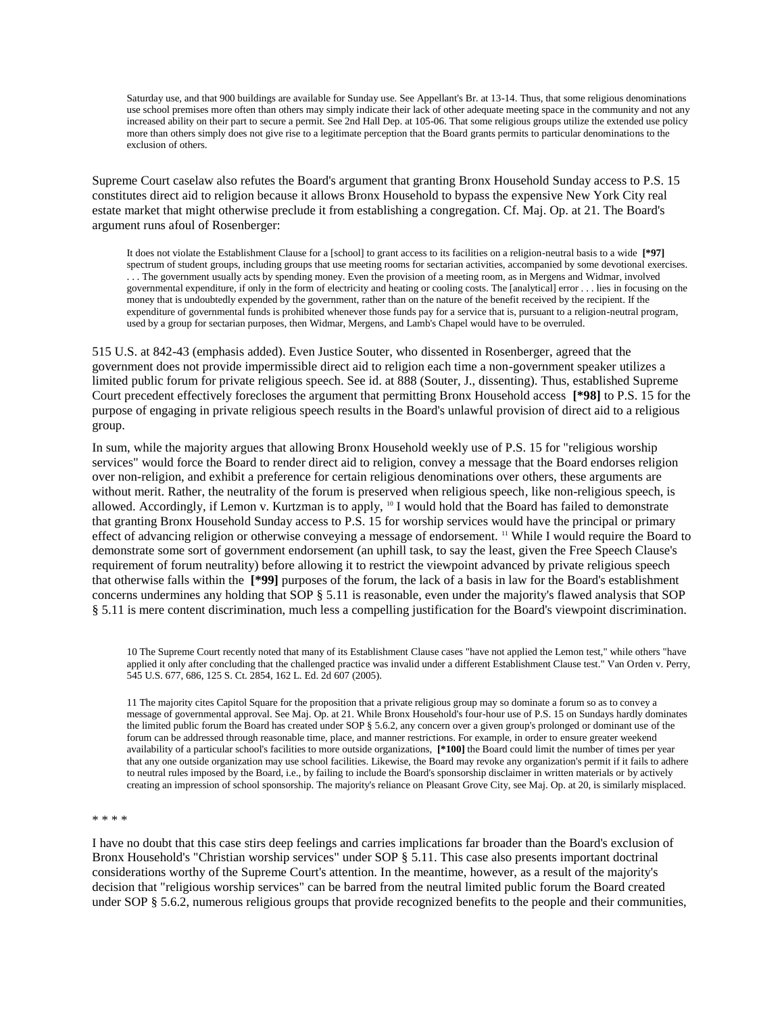Saturday use, and that 900 buildings are available for Sunday use. See Appellant's Br. at 13-14. Thus, that some religious denominations use school premises more often than others may simply indicate their lack of other adequate meeting space in the community and not any increased ability on their part to secure a permit. See 2nd Hall Dep. at 105-06. That some religious groups utilize the extended use policy more than others simply does not give rise to a legitimate perception that the Board grants permits to particular denominations to the exclusion of others.

Supreme Court caselaw also refutes the Board's argument that granting Bronx Household Sunday access to P.S. 15 constitutes direct aid to religion because it allows Bronx Household to bypass the expensive New York City real estate market that might otherwise preclude it from establishing a congregation. Cf. Maj. Op. at 21. The Board's argument runs afoul of Rosenberger:

It does not violate the Establishment Clause for a [school] to grant access to its facilities on a religion-neutral basis to a wide **[\*97]** spectrum of student groups, including groups that use meeting rooms for sectarian activities, accompanied by some devotional exercises. . . . The government usually acts by spending money. Even the provision of a meeting room, as in Mergens and Widmar, involved governmental expenditure, if only in the form of electricity and heating or cooling costs. The [analytical] error . . . lies in focusing on the money that is undoubtedly expended by the government, rather than on the nature of the benefit received by the recipient. If the expenditure of governmental funds is prohibited whenever those funds pay for a service that is, pursuant to a religion-neutral program, used by a group for sectarian purposes, then Widmar, Mergens, and Lamb's Chapel would have to be overruled.

515 U.S. at 842-43 (emphasis added). Even Justice Souter, who dissented in Rosenberger, agreed that the government does not provide impermissible direct aid to religion each time a non-government speaker utilizes a limited public forum for private religious speech. See id. at 888 (Souter, J., dissenting). Thus, established Supreme Court precedent effectively forecloses the argument that permitting Bronx Household access **[\*98]** to P.S. 15 for the purpose of engaging in private religious speech results in the Board's unlawful provision of direct aid to a religious group.

In sum, while the majority argues that allowing Bronx Household weekly use of P.S. 15 for "religious worship services" would force the Board to render direct aid to religion, convey a message that the Board endorses religion over non-religion, and exhibit a preference for certain religious denominations over others, these arguments are without merit. Rather, the neutrality of the forum is preserved when religious speech, like non-religious speech, is allowed. Accordingly, if Lemon v. Kurtzman is to apply, <sup>10</sup> I would hold that the Board has failed to demonstrate that granting Bronx Household Sunday access to P.S. 15 for worship services would have the principal or primary effect of advancing religion or otherwise conveying a message of endorsement. <sup>11</sup> While I would require the Board to demonstrate some sort of government endorsement (an uphill task, to say the least, given the Free Speech Clause's requirement of forum neutrality) before allowing it to restrict the viewpoint advanced by private religious speech that otherwise falls within the **[\*99]** purposes of the forum, the lack of a basis in law for the Board's establishment concerns undermines any holding that SOP § 5.11 is reasonable, even under the majority's flawed analysis that SOP § 5.11 is mere content discrimination, much less a compelling justification for the Board's viewpoint discrimination.

10 The Supreme Court recently noted that many of its Establishment Clause cases "have not applied the Lemon test," while others "have applied it only after concluding that the challenged practice was invalid under a different Establishment Clause test." Van Orden v. Perry, 545 U.S. 677, 686, 125 S. Ct. 2854, 162 L. Ed. 2d 607 (2005).

11 The majority cites Capitol Square for the proposition that a private religious group may so dominate a forum so as to convey a message of governmental approval. See Maj. Op. at 21. While Bronx Household's four-hour use of P.S. 15 on Sundays hardly dominates the limited public forum the Board has created under SOP § 5.6.2, any concern over a given group's prolonged or dominant use of the forum can be addressed through reasonable time, place, and manner restrictions. For example, in order to ensure greater weekend availability of a particular school's facilities to more outside organizations, **[\*100]** the Board could limit the number of times per year that any one outside organization may use school facilities. Likewise, the Board may revoke any organization's permit if it fails to adhere to neutral rules imposed by the Board, i.e., by failing to include the Board's sponsorship disclaimer in written materials or by actively creating an impression of school sponsorship. The majority's reliance on Pleasant Grove City, see Maj. Op. at 20, is similarly misplaced.

\* \* \* \*

I have no doubt that this case stirs deep feelings and carries implications far broader than the Board's exclusion of Bronx Household's "Christian worship services" under SOP § 5.11. This case also presents important doctrinal considerations worthy of the Supreme Court's attention. In the meantime, however, as a result of the majority's decision that "religious worship services" can be barred from the neutral limited public forum the Board created under SOP § 5.6.2, numerous religious groups that provide recognized benefits to the people and their communities,